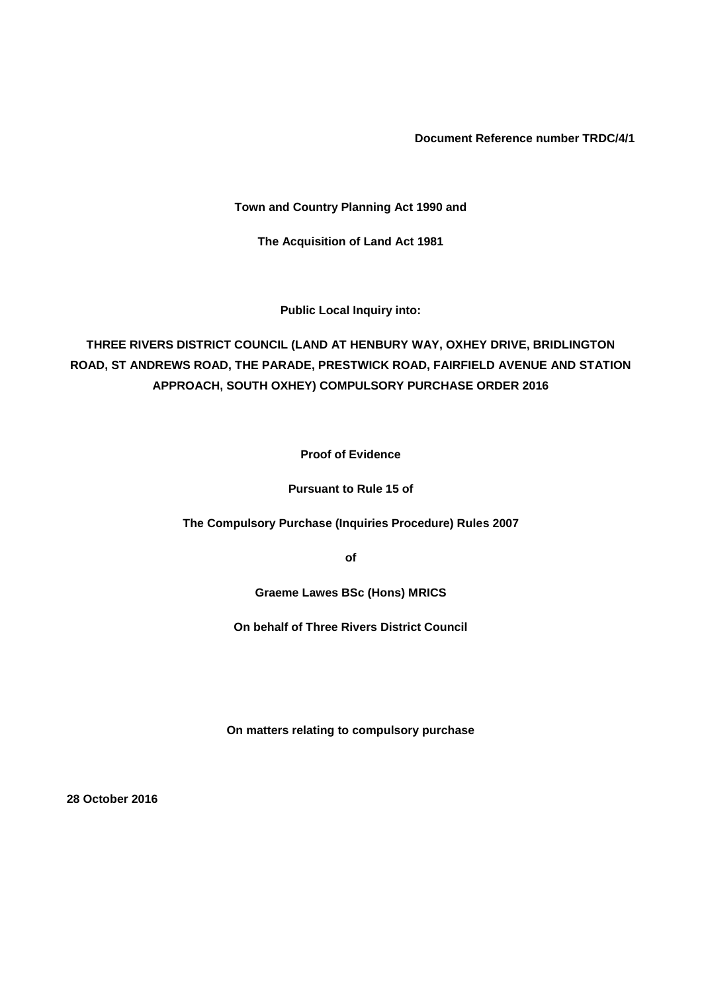**Document Reference number TRDC/4/1**

**Town and Country Planning Act 1990 and**

**The Acquisition of Land Act 1981**

**Public Local Inquiry into:**

**THREE RIVERS DISTRICT COUNCIL (LAND AT HENBURY WAY, OXHEY DRIVE, BRIDLINGTON ROAD, ST ANDREWS ROAD, THE PARADE, PRESTWICK ROAD, FAIRFIELD AVENUE AND STATION APPROACH, SOUTH OXHEY) COMPULSORY PURCHASE ORDER 2016**

**Proof of Evidence**

**Pursuant to Rule 15 of**

**The Compulsory Purchase (Inquiries Procedure) Rules 2007**

**of**

**Graeme Lawes BSc (Hons) MRICS**

**On behalf of Three Rivers District Council**

**On matters relating to compulsory purchase**

**28 October 2016**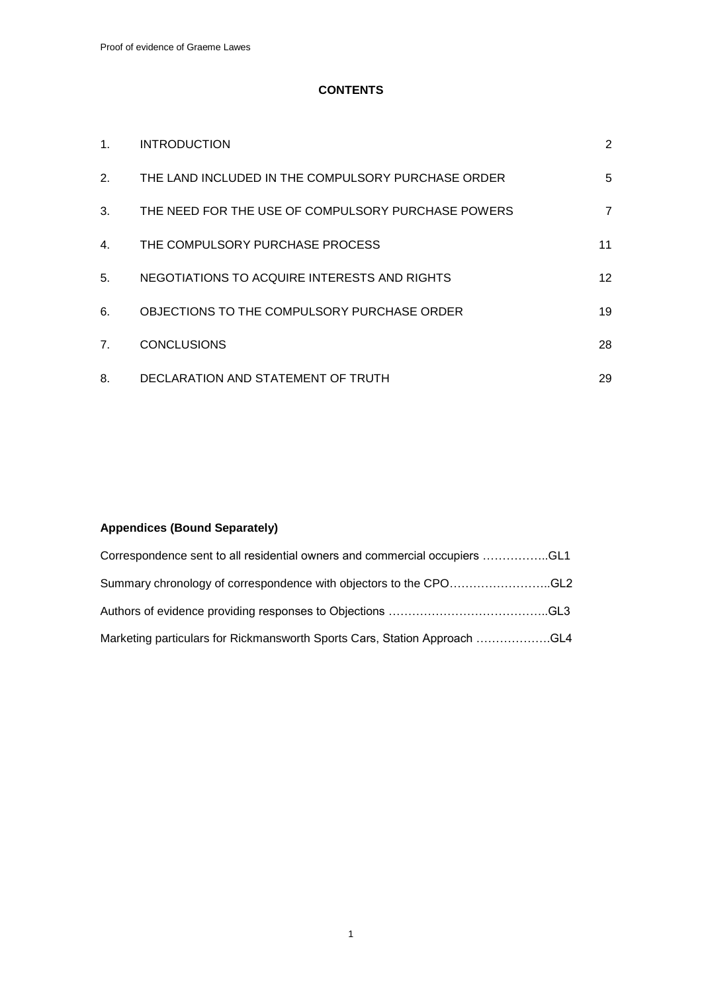## **CONTENTS**

| 1.             | <b>INTRODUCTION</b>                                | 2               |
|----------------|----------------------------------------------------|-----------------|
| 2.             | THE LAND INCLUDED IN THE COMPULSORY PURCHASE ORDER | 5               |
| 3.             | THE NEED FOR THE USE OF COMPULSORY PURCHASE POWERS | $\overline{7}$  |
| 4.             | THE COMPULSORY PURCHASE PROCESS                    | 11              |
| 5.             | NEGOTIATIONS TO ACQUIRE INTERESTS AND RIGHTS       | 12 <sup>2</sup> |
| 6.             | OBJECTIONS TO THE COMPULSORY PURCHASE ORDER        | 19              |
| 7 <sub>1</sub> | <b>CONCLUSIONS</b>                                 | 28              |
| 8.             | DECLARATION AND STATEMENT OF TRUTH                 | 29              |

## **Appendices (Bound Separately)**

| Correspondence sent to all residential owners and commercial occupiers CL1 |  |
|----------------------------------------------------------------------------|--|
| Summary chronology of correspondence with objectors to the CPOGL2          |  |
|                                                                            |  |
| Marketing particulars for Rickmansworth Sports Cars, Station Approach GL4  |  |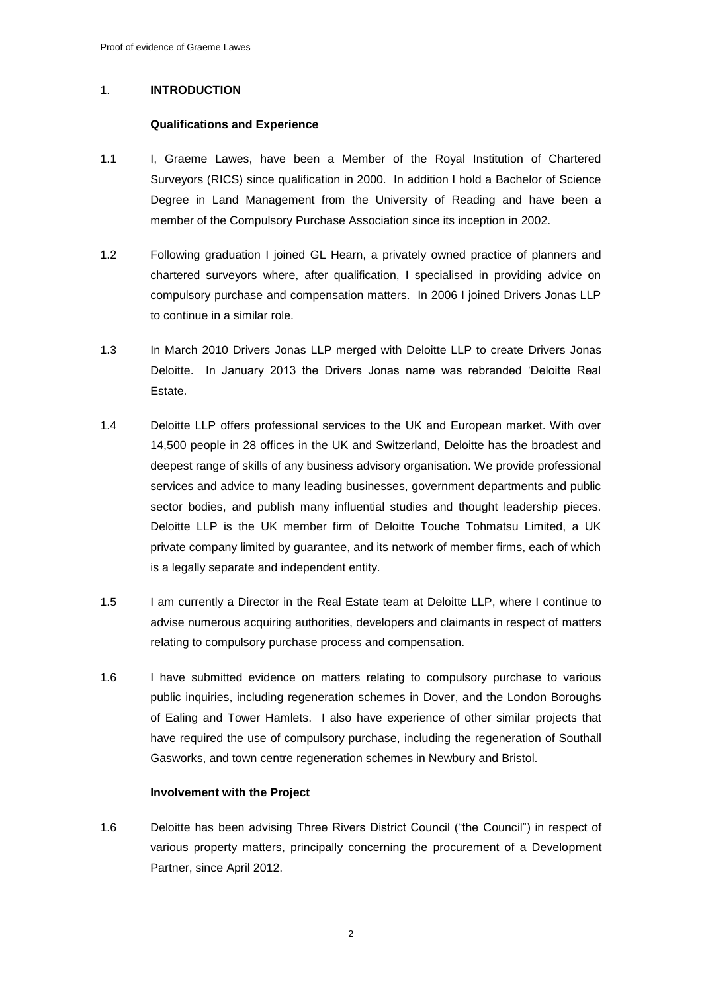## 1. **INTRODUCTION**

## **Qualifications and Experience**

- 1.1 I, Graeme Lawes, have been a Member of the Royal Institution of Chartered Surveyors (RICS) since qualification in 2000. In addition I hold a Bachelor of Science Degree in Land Management from the University of Reading and have been a member of the Compulsory Purchase Association since its inception in 2002.
- 1.2 Following graduation I joined GL Hearn, a privately owned practice of planners and chartered surveyors where, after qualification, I specialised in providing advice on compulsory purchase and compensation matters. In 2006 I joined Drivers Jonas LLP to continue in a similar role.
- 1.3 In March 2010 Drivers Jonas LLP merged with Deloitte LLP to create Drivers Jonas Deloitte. In January 2013 the Drivers Jonas name was rebranded 'Deloitte Real Estate.
- 1.4 Deloitte LLP offers professional services to the UK and European market. With over 14,500 people in 28 offices in the UK and Switzerland, Deloitte has the broadest and deepest range of skills of any business advisory organisation. We provide professional services and advice to many leading businesses, government departments and public sector bodies, and publish many influential studies and thought leadership pieces. Deloitte LLP is the UK member firm of Deloitte Touche Tohmatsu Limited, a UK private company limited by guarantee, and its network of member firms, each of which is a legally separate and independent entity.
- 1.5 I am currently a Director in the Real Estate team at Deloitte LLP, where I continue to advise numerous acquiring authorities, developers and claimants in respect of matters relating to compulsory purchase process and compensation.
- 1.6 I have submitted evidence on matters relating to compulsory purchase to various public inquiries, including regeneration schemes in Dover, and the London Boroughs of Ealing and Tower Hamlets. I also have experience of other similar projects that have required the use of compulsory purchase, including the regeneration of Southall Gasworks, and town centre regeneration schemes in Newbury and Bristol.

## **Involvement with the Project**

1.6 Deloitte has been advising Three Rivers District Council ("the Council") in respect of various property matters, principally concerning the procurement of a Development Partner, since April 2012.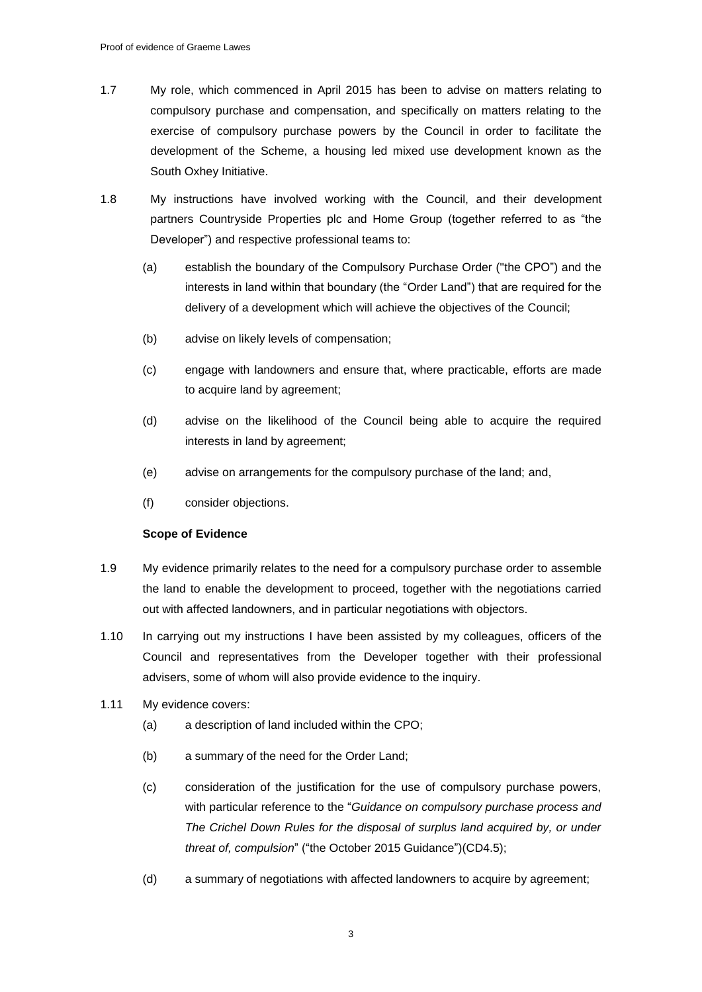- 1.7 My role, which commenced in April 2015 has been to advise on matters relating to compulsory purchase and compensation, and specifically on matters relating to the exercise of compulsory purchase powers by the Council in order to facilitate the development of the Scheme, a housing led mixed use development known as the South Oxhey Initiative.
- 1.8 My instructions have involved working with the Council, and their development partners Countryside Properties plc and Home Group (together referred to as "the Developer") and respective professional teams to:
	- (a) establish the boundary of the Compulsory Purchase Order ("the CPO") and the interests in land within that boundary (the "Order Land") that are required for the delivery of a development which will achieve the objectives of the Council;
	- (b) advise on likely levels of compensation;
	- (c) engage with landowners and ensure that, where practicable, efforts are made to acquire land by agreement;
	- (d) advise on the likelihood of the Council being able to acquire the required interests in land by agreement;
	- (e) advise on arrangements for the compulsory purchase of the land; and,
	- (f) consider objections.

## **Scope of Evidence**

- 1.9 My evidence primarily relates to the need for a compulsory purchase order to assemble the land to enable the development to proceed, together with the negotiations carried out with affected landowners, and in particular negotiations with objectors.
- 1.10 In carrying out my instructions I have been assisted by my colleagues, officers of the Council and representatives from the Developer together with their professional advisers, some of whom will also provide evidence to the inquiry.
- 1.11 My evidence covers:
	- (a) a description of land included within the CPO;
	- (b) a summary of the need for the Order Land;
	- (c) consideration of the justification for the use of compulsory purchase powers, with particular reference to the "*Guidance on compulsory purchase process and The Crichel Down Rules for the disposal of surplus land acquired by, or under threat of, compulsion*" ("the October 2015 Guidance")(CD4.5);
	- (d) a summary of negotiations with affected landowners to acquire by agreement;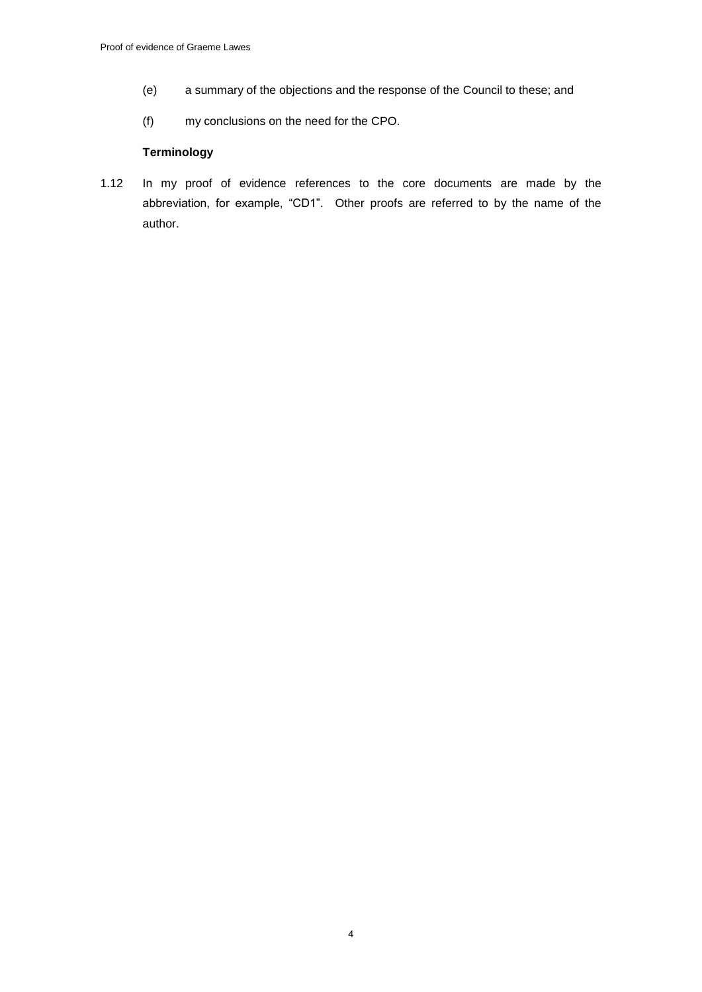- (e) a summary of the objections and the response of the Council to these; and
- (f) my conclusions on the need for the CPO.

## **Terminology**

1.12 In my proof of evidence references to the core documents are made by the abbreviation, for example, "CD1". Other proofs are referred to by the name of the author.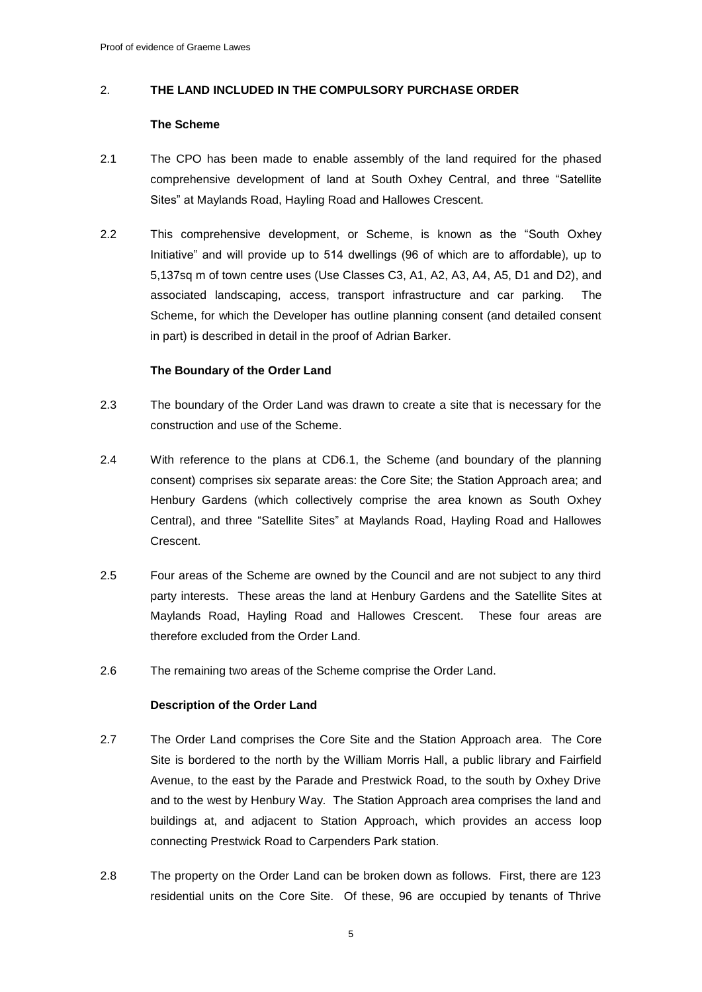## 2. **THE LAND INCLUDED IN THE COMPULSORY PURCHASE ORDER**

### **The Scheme**

- 2.1 The CPO has been made to enable assembly of the land required for the phased comprehensive development of land at South Oxhey Central, and three "Satellite Sites" at Maylands Road, Hayling Road and Hallowes Crescent.
- 2.2 This comprehensive development, or Scheme, is known as the "South Oxhey Initiative" and will provide up to 514 dwellings (96 of which are to affordable), up to 5,137sq m of town centre uses (Use Classes C3, A1, A2, A3, A4, A5, D1 and D2), and associated landscaping, access, transport infrastructure and car parking. The Scheme, for which the Developer has outline planning consent (and detailed consent in part) is described in detail in the proof of Adrian Barker.

## **The Boundary of the Order Land**

- 2.3 The boundary of the Order Land was drawn to create a site that is necessary for the construction and use of the Scheme.
- 2.4 With reference to the plans at CD6.1, the Scheme (and boundary of the planning consent) comprises six separate areas: the Core Site; the Station Approach area; and Henbury Gardens (which collectively comprise the area known as South Oxhey Central), and three "Satellite Sites" at Maylands Road, Hayling Road and Hallowes Crescent.
- 2.5 Four areas of the Scheme are owned by the Council and are not subject to any third party interests. These areas the land at Henbury Gardens and the Satellite Sites at Maylands Road, Hayling Road and Hallowes Crescent. These four areas are therefore excluded from the Order Land.
- 2.6 The remaining two areas of the Scheme comprise the Order Land.

## **Description of the Order Land**

- 2.7 The Order Land comprises the Core Site and the Station Approach area. The Core Site is bordered to the north by the William Morris Hall, a public library and Fairfield Avenue, to the east by the Parade and Prestwick Road, to the south by Oxhey Drive and to the west by Henbury Way. The Station Approach area comprises the land and buildings at, and adjacent to Station Approach, which provides an access loop connecting Prestwick Road to Carpenders Park station.
- 2.8 The property on the Order Land can be broken down as follows. First, there are 123 residential units on the Core Site. Of these, 96 are occupied by tenants of Thrive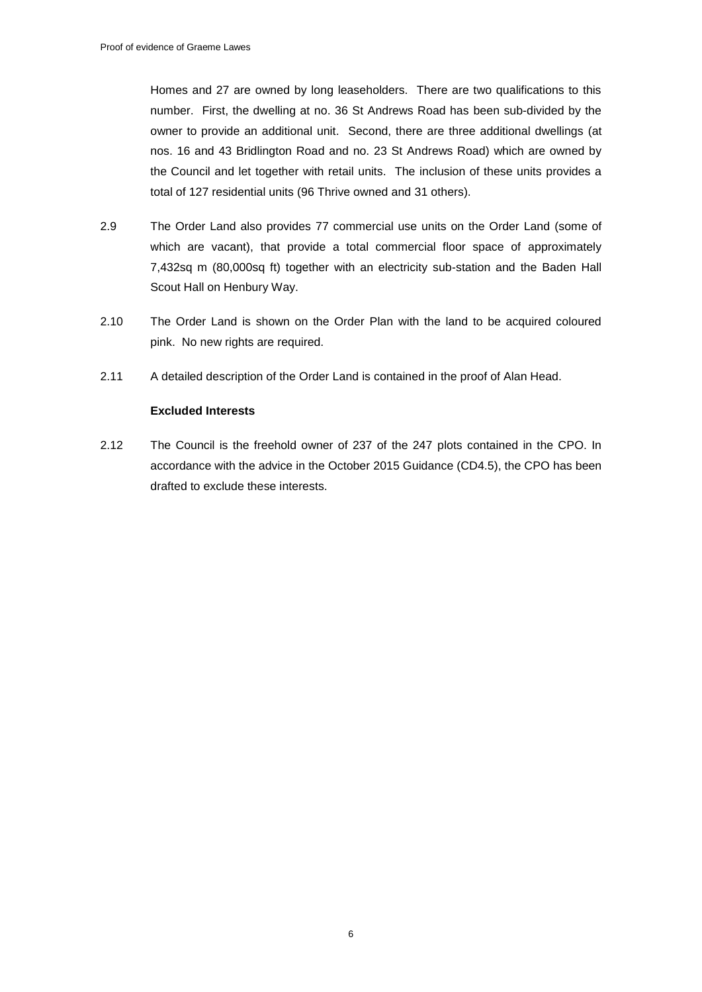Homes and 27 are owned by long leaseholders. There are two qualifications to this number. First, the dwelling at no. 36 St Andrews Road has been sub-divided by the owner to provide an additional unit. Second, there are three additional dwellings (at nos. 16 and 43 Bridlington Road and no. 23 St Andrews Road) which are owned by the Council and let together with retail units. The inclusion of these units provides a total of 127 residential units (96 Thrive owned and 31 others).

- 2.9 The Order Land also provides 77 commercial use units on the Order Land (some of which are vacant), that provide a total commercial floor space of approximately 7,432sq m (80,000sq ft) together with an electricity sub-station and the Baden Hall Scout Hall on Henbury Way.
- 2.10 The Order Land is shown on the Order Plan with the land to be acquired coloured pink. No new rights are required.
- 2.11 A detailed description of the Order Land is contained in the proof of Alan Head.

## **Excluded Interests**

2.12 The Council is the freehold owner of 237 of the 247 plots contained in the CPO. In accordance with the advice in the October 2015 Guidance (CD4.5), the CPO has been drafted to exclude these interests.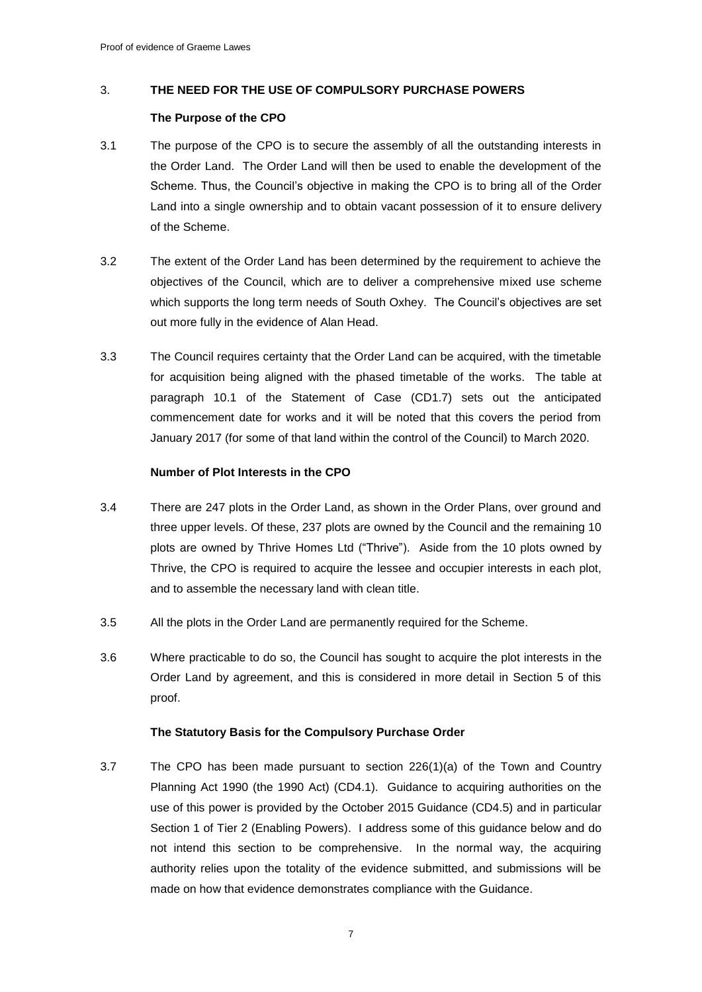## 3. **THE NEED FOR THE USE OF COMPULSORY PURCHASE POWERS**

## **The Purpose of the CPO**

- 3.1 The purpose of the CPO is to secure the assembly of all the outstanding interests in the Order Land. The Order Land will then be used to enable the development of the Scheme. Thus, the Council's objective in making the CPO is to bring all of the Order Land into a single ownership and to obtain vacant possession of it to ensure delivery of the Scheme.
- 3.2 The extent of the Order Land has been determined by the requirement to achieve the objectives of the Council, which are to deliver a comprehensive mixed use scheme which supports the long term needs of South Oxhey. The Council's objectives are set out more fully in the evidence of Alan Head.
- 3.3 The Council requires certainty that the Order Land can be acquired, with the timetable for acquisition being aligned with the phased timetable of the works. The table at paragraph 10.1 of the Statement of Case (CD1.7) sets out the anticipated commencement date for works and it will be noted that this covers the period from January 2017 (for some of that land within the control of the Council) to March 2020.

## **Number of Plot Interests in the CPO**

- 3.4 There are 247 plots in the Order Land, as shown in the Order Plans, over ground and three upper levels. Of these, 237 plots are owned by the Council and the remaining 10 plots are owned by Thrive Homes Ltd ("Thrive"). Aside from the 10 plots owned by Thrive, the CPO is required to acquire the lessee and occupier interests in each plot, and to assemble the necessary land with clean title.
- 3.5 All the plots in the Order Land are permanently required for the Scheme.
- 3.6 Where practicable to do so, the Council has sought to acquire the plot interests in the Order Land by agreement, and this is considered in more detail in Section 5 of this proof.

## **The Statutory Basis for the Compulsory Purchase Order**

3.7 The CPO has been made pursuant to section 226(1)(a) of the Town and Country Planning Act 1990 (the 1990 Act) (CD4.1). Guidance to acquiring authorities on the use of this power is provided by the October 2015 Guidance (CD4.5) and in particular Section 1 of Tier 2 (Enabling Powers). I address some of this guidance below and do not intend this section to be comprehensive. In the normal way, the acquiring authority relies upon the totality of the evidence submitted, and submissions will be made on how that evidence demonstrates compliance with the Guidance.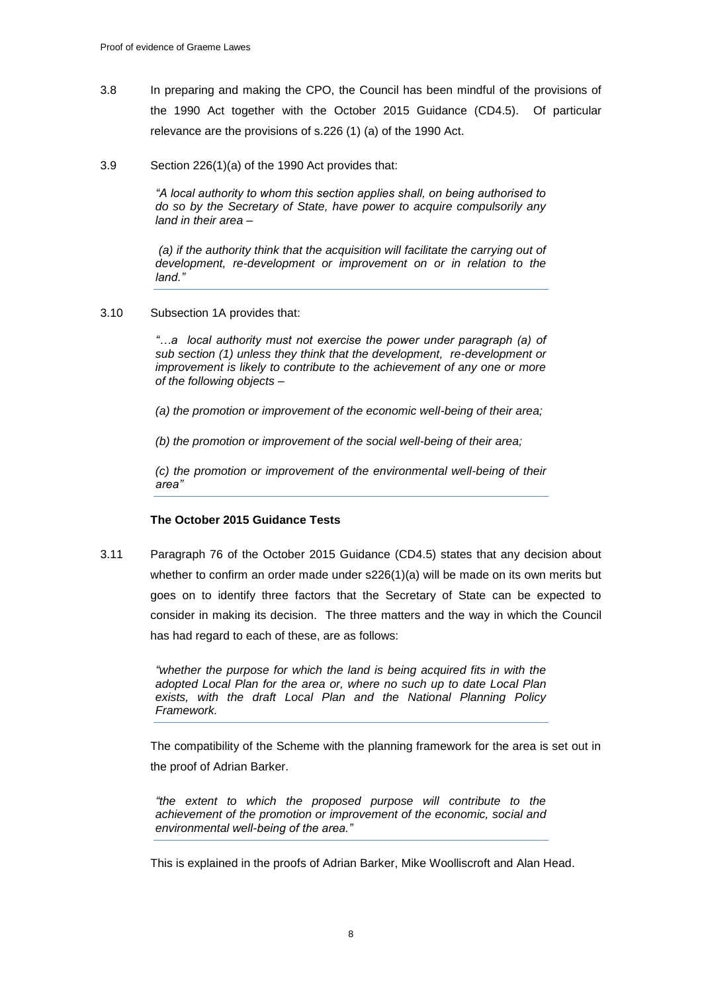- 3.8 In preparing and making the CPO, the Council has been mindful of the provisions of the 1990 Act together with the October 2015 Guidance (CD4.5). Of particular relevance are the provisions of s.226 (1) (a) of the 1990 Act.
- 3.9 Section 226(1)(a) of the 1990 Act provides that:

*"A local authority to whom this section applies shall, on being authorised to do so by the Secretary of State, have power to acquire compulsorily any land in their area –*

*(a) if the authority think that the acquisition will facilitate the carrying out of development, re-development or improvement on or in relation to the land."*

3.10 Subsection 1A provides that:

*"…a local authority must not exercise the power under paragraph (a) of sub section (1) unless they think that the development, re-development or improvement is likely to contribute to the achievement of any one or more of the following objects –*

*(a) the promotion or improvement of the economic well-being of their area;*

*(b) the promotion or improvement of the social well-being of their area;*

*(c) the promotion or improvement of the environmental well-being of their area"*

## **The October 2015 Guidance Tests**

3.11 Paragraph 76 of the October 2015 Guidance (CD4.5) states that any decision about whether to confirm an order made under s226(1)(a) will be made on its own merits but goes on to identify three factors that the Secretary of State can be expected to consider in making its decision. The three matters and the way in which the Council has had regard to each of these, are as follows:

> *"whether the purpose for which the land is being acquired fits in with the adopted Local Plan for the area or, where no such up to date Local Plan exists, with the draft Local Plan and the National Planning Policy Framework.*

The compatibility of the Scheme with the planning framework for the area is set out in the proof of Adrian Barker.

*"the extent to which the proposed purpose will contribute to the achievement of the promotion or improvement of the economic, social and environmental well-being of the area."*

This is explained in the proofs of Adrian Barker, Mike Woolliscroft and Alan Head.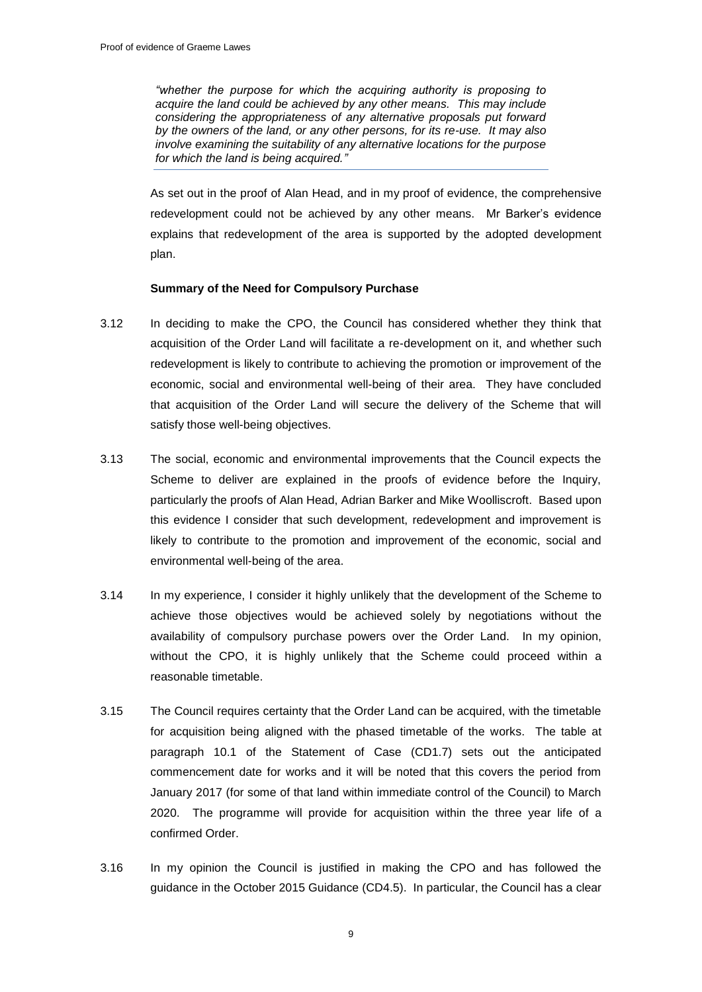*"whether the purpose for which the acquiring authority is proposing to acquire the land could be achieved by any other means. This may include considering the appropriateness of any alternative proposals put forward by the owners of the land, or any other persons, for its re-use. It may also involve examining the suitability of any alternative locations for the purpose for which the land is being acquired."*

As set out in the proof of Alan Head, and in my proof of evidence, the comprehensive redevelopment could not be achieved by any other means. Mr Barker's evidence explains that redevelopment of the area is supported by the adopted development plan.

## **Summary of the Need for Compulsory Purchase**

- 3.12 In deciding to make the CPO, the Council has considered whether they think that acquisition of the Order Land will facilitate a re-development on it, and whether such redevelopment is likely to contribute to achieving the promotion or improvement of the economic, social and environmental well-being of their area. They have concluded that acquisition of the Order Land will secure the delivery of the Scheme that will satisfy those well-being objectives.
- 3.13 The social, economic and environmental improvements that the Council expects the Scheme to deliver are explained in the proofs of evidence before the Inquiry, particularly the proofs of Alan Head, Adrian Barker and Mike Woolliscroft. Based upon this evidence I consider that such development, redevelopment and improvement is likely to contribute to the promotion and improvement of the economic, social and environmental well-being of the area.
- 3.14 In my experience, I consider it highly unlikely that the development of the Scheme to achieve those objectives would be achieved solely by negotiations without the availability of compulsory purchase powers over the Order Land. In my opinion, without the CPO, it is highly unlikely that the Scheme could proceed within a reasonable timetable.
- 3.15 The Council requires certainty that the Order Land can be acquired, with the timetable for acquisition being aligned with the phased timetable of the works. The table at paragraph 10.1 of the Statement of Case (CD1.7) sets out the anticipated commencement date for works and it will be noted that this covers the period from January 2017 (for some of that land within immediate control of the Council) to March 2020. The programme will provide for acquisition within the three year life of a confirmed Order.
- 3.16 In my opinion the Council is justified in making the CPO and has followed the guidance in the October 2015 Guidance (CD4.5). In particular, the Council has a clear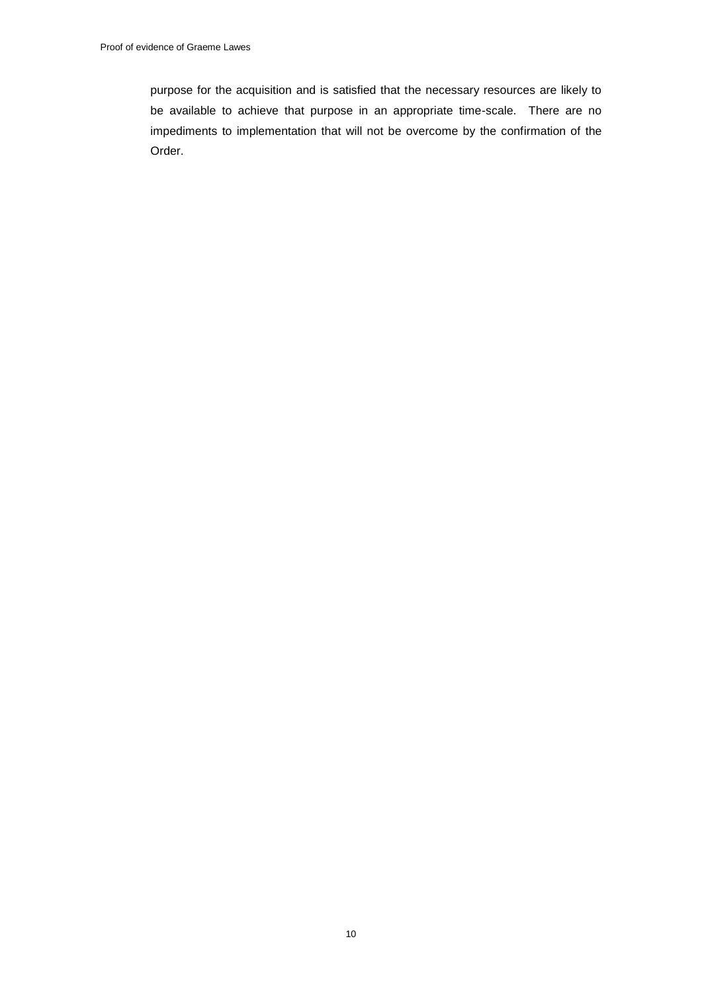purpose for the acquisition and is satisfied that the necessary resources are likely to be available to achieve that purpose in an appropriate time-scale. There are no impediments to implementation that will not be overcome by the confirmation of the Order.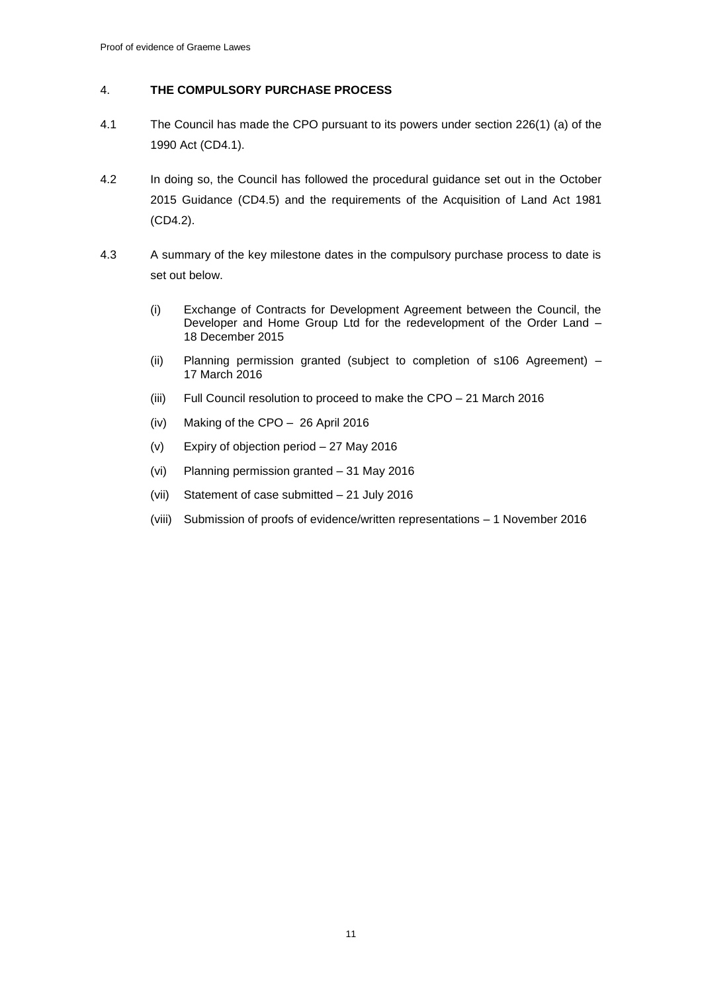## 4. **THE COMPULSORY PURCHASE PROCESS**

- 4.1 The Council has made the CPO pursuant to its powers under section 226(1) (a) of the 1990 Act (CD4.1).
- 4.2 In doing so, the Council has followed the procedural guidance set out in the October 2015 Guidance (CD4.5) and the requirements of the Acquisition of Land Act 1981 (CD4.2).
- 4.3 A summary of the key milestone dates in the compulsory purchase process to date is set out below.
	- (i) Exchange of Contracts for Development Agreement between the Council, the Developer and Home Group Ltd for the redevelopment of the Order Land – 18 December 2015
	- (ii) Planning permission granted (subject to completion of s106 Agreement) 17 March 2016
	- (iii) Full Council resolution to proceed to make the CPO 21 March 2016
	- (iv) Making of the CPO 26 April 2016
	- (v) Expiry of objection period 27 May 2016
	- (vi) Planning permission granted 31 May 2016
	- (vii) Statement of case submitted 21 July 2016
	- (viii) Submission of proofs of evidence/written representations 1 November 2016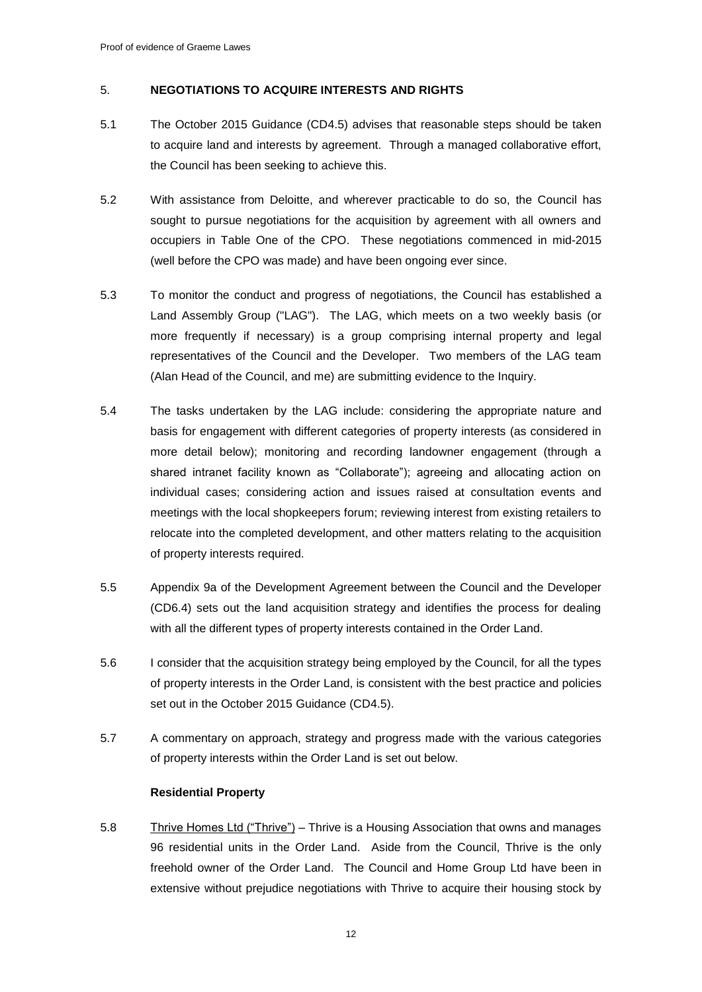## 5. **NEGOTIATIONS TO ACQUIRE INTERESTS AND RIGHTS**

- 5.1 The October 2015 Guidance (CD4.5) advises that reasonable steps should be taken to acquire land and interests by agreement. Through a managed collaborative effort, the Council has been seeking to achieve this.
- 5.2 With assistance from Deloitte, and wherever practicable to do so, the Council has sought to pursue negotiations for the acquisition by agreement with all owners and occupiers in Table One of the CPO. These negotiations commenced in mid-2015 (well before the CPO was made) and have been ongoing ever since.
- 5.3 To monitor the conduct and progress of negotiations, the Council has established a Land Assembly Group ("LAG"). The LAG, which meets on a two weekly basis (or more frequently if necessary) is a group comprising internal property and legal representatives of the Council and the Developer. Two members of the LAG team (Alan Head of the Council, and me) are submitting evidence to the Inquiry.
- 5.4 The tasks undertaken by the LAG include: considering the appropriate nature and basis for engagement with different categories of property interests (as considered in more detail below); monitoring and recording landowner engagement (through a shared intranet facility known as "Collaborate"); agreeing and allocating action on individual cases; considering action and issues raised at consultation events and meetings with the local shopkeepers forum; reviewing interest from existing retailers to relocate into the completed development, and other matters relating to the acquisition of property interests required.
- 5.5 Appendix 9a of the Development Agreement between the Council and the Developer (CD6.4) sets out the land acquisition strategy and identifies the process for dealing with all the different types of property interests contained in the Order Land.
- 5.6 I consider that the acquisition strategy being employed by the Council, for all the types of property interests in the Order Land, is consistent with the best practice and policies set out in the October 2015 Guidance (CD4.5).
- 5.7 A commentary on approach, strategy and progress made with the various categories of property interests within the Order Land is set out below.

## **Residential Property**

5.8 Thrive Homes Ltd ("Thrive") – Thrive is a Housing Association that owns and manages 96 residential units in the Order Land. Aside from the Council, Thrive is the only freehold owner of the Order Land. The Council and Home Group Ltd have been in extensive without prejudice negotiations with Thrive to acquire their housing stock by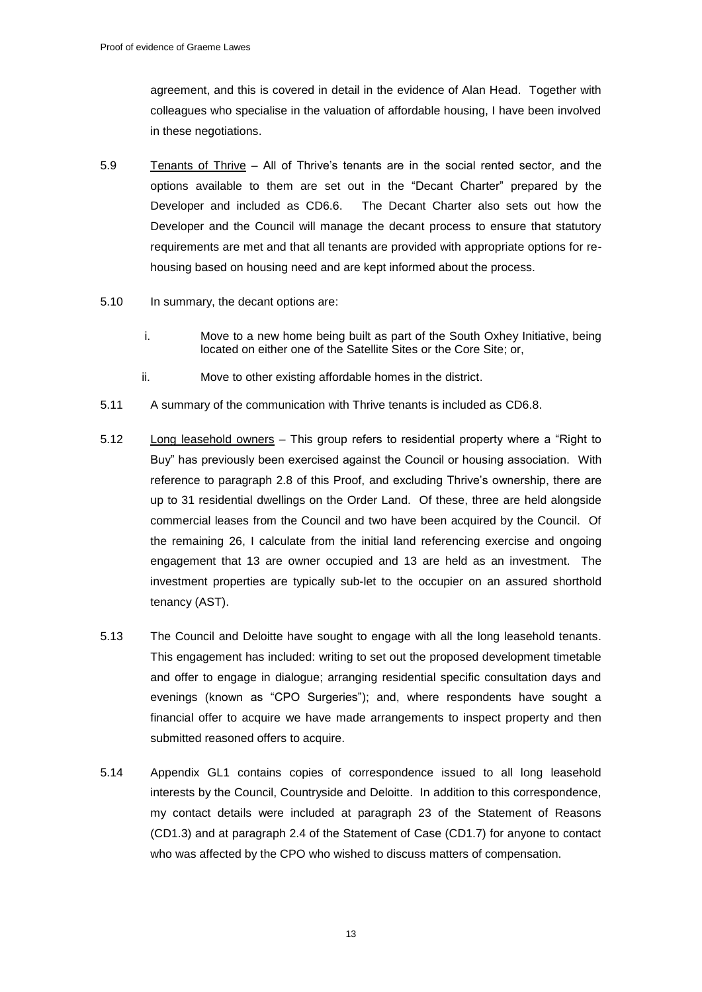agreement, and this is covered in detail in the evidence of Alan Head. Together with colleagues who specialise in the valuation of affordable housing, I have been involved in these negotiations.

- 5.9 Tenants of Thrive All of Thrive's tenants are in the social rented sector, and the options available to them are set out in the "Decant Charter" prepared by the Developer and included as CD6.6. The Decant Charter also sets out how the Developer and the Council will manage the decant process to ensure that statutory requirements are met and that all tenants are provided with appropriate options for rehousing based on housing need and are kept informed about the process.
- 5.10 In summary, the decant options are:
	- i. Move to a new home being built as part of the South Oxhey Initiative, being located on either one of the Satellite Sites or the Core Site; or,
	- ii. Move to other existing affordable homes in the district.
- 5.11 A summary of the communication with Thrive tenants is included as CD6.8.
- 5.12 Long leasehold owners This group refers to residential property where a "Right to Buy" has previously been exercised against the Council or housing association. With reference to paragraph 2.8 of this Proof, and excluding Thrive's ownership, there are up to 31 residential dwellings on the Order Land. Of these, three are held alongside commercial leases from the Council and two have been acquired by the Council. Of the remaining 26, I calculate from the initial land referencing exercise and ongoing engagement that 13 are owner occupied and 13 are held as an investment. The investment properties are typically sub-let to the occupier on an assured shorthold tenancy (AST).
- 5.13 The Council and Deloitte have sought to engage with all the long leasehold tenants. This engagement has included: writing to set out the proposed development timetable and offer to engage in dialogue; arranging residential specific consultation days and evenings (known as "CPO Surgeries"); and, where respondents have sought a financial offer to acquire we have made arrangements to inspect property and then submitted reasoned offers to acquire.
- 5.14 Appendix GL1 contains copies of correspondence issued to all long leasehold interests by the Council, Countryside and Deloitte. In addition to this correspondence, my contact details were included at paragraph 23 of the Statement of Reasons (CD1.3) and at paragraph 2.4 of the Statement of Case (CD1.7) for anyone to contact who was affected by the CPO who wished to discuss matters of compensation.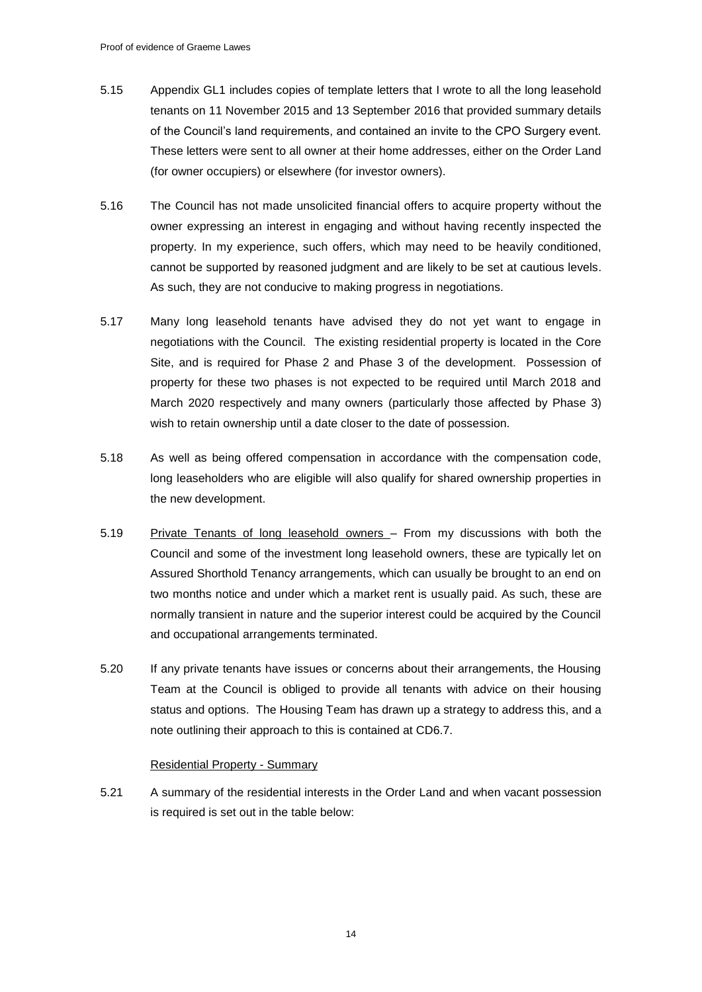- 5.15 Appendix GL1 includes copies of template letters that I wrote to all the long leasehold tenants on 11 November 2015 and 13 September 2016 that provided summary details of the Council's land requirements, and contained an invite to the CPO Surgery event. These letters were sent to all owner at their home addresses, either on the Order Land (for owner occupiers) or elsewhere (for investor owners).
- 5.16 The Council has not made unsolicited financial offers to acquire property without the owner expressing an interest in engaging and without having recently inspected the property. In my experience, such offers, which may need to be heavily conditioned, cannot be supported by reasoned judgment and are likely to be set at cautious levels. As such, they are not conducive to making progress in negotiations.
- 5.17 Many long leasehold tenants have advised they do not yet want to engage in negotiations with the Council. The existing residential property is located in the Core Site, and is required for Phase 2 and Phase 3 of the development. Possession of property for these two phases is not expected to be required until March 2018 and March 2020 respectively and many owners (particularly those affected by Phase 3) wish to retain ownership until a date closer to the date of possession.
- 5.18 As well as being offered compensation in accordance with the compensation code, long leaseholders who are eligible will also qualify for shared ownership properties in the new development.
- 5.19 Private Tenants of long leasehold owners From my discussions with both the Council and some of the investment long leasehold owners, these are typically let on Assured Shorthold Tenancy arrangements, which can usually be brought to an end on two months notice and under which a market rent is usually paid. As such, these are normally transient in nature and the superior interest could be acquired by the Council and occupational arrangements terminated.
- 5.20 If any private tenants have issues or concerns about their arrangements, the Housing Team at the Council is obliged to provide all tenants with advice on their housing status and options. The Housing Team has drawn up a strategy to address this, and a note outlining their approach to this is contained at CD6.7.

## Residential Property - Summary

5.21 A summary of the residential interests in the Order Land and when vacant possession is required is set out in the table below: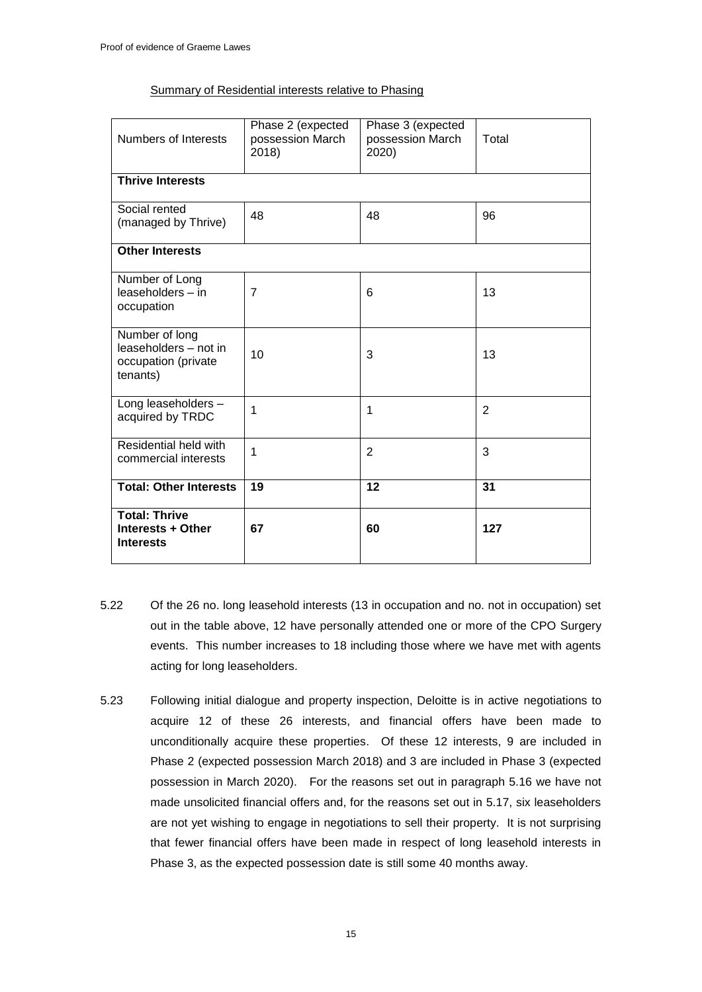## Summary of Residential interests relative to Phasing

| <b>Numbers of Interests</b>                                                | Phase 2 (expected<br>possession March<br>2018) | Phase 3 (expected<br>possession March<br>2020) | Total          |  |
|----------------------------------------------------------------------------|------------------------------------------------|------------------------------------------------|----------------|--|
| <b>Thrive Interests</b>                                                    |                                                |                                                |                |  |
| Social rented<br>(managed by Thrive)                                       | 48                                             | 48                                             | 96             |  |
| <b>Other Interests</b>                                                     |                                                |                                                |                |  |
| Number of Long<br>leaseholders - in<br>occupation                          | $\overline{7}$                                 | 6                                              | 13             |  |
| Number of long<br>leaseholders - not in<br>occupation (private<br>tenants) | 10                                             | 3                                              | 13             |  |
| Long leaseholders -<br>acquired by TRDC                                    | 1                                              | 1                                              | $\overline{2}$ |  |
| Residential held with<br>commercial interests                              | 1                                              | $\overline{2}$                                 | 3              |  |
| <b>Total: Other Interests</b>                                              | 19                                             | 12                                             | 31             |  |
| <b>Total: Thrive</b><br>Interests + Other<br><b>Interests</b>              | 67                                             | 60                                             | 127            |  |

- 5.22 Of the 26 no. long leasehold interests (13 in occupation and no. not in occupation) set out in the table above, 12 have personally attended one or more of the CPO Surgery events. This number increases to 18 including those where we have met with agents acting for long leaseholders.
- 5.23 Following initial dialogue and property inspection, Deloitte is in active negotiations to acquire 12 of these 26 interests, and financial offers have been made to unconditionally acquire these properties. Of these 12 interests, 9 are included in Phase 2 (expected possession March 2018) and 3 are included in Phase 3 (expected possession in March 2020). For the reasons set out in paragraph 5.16 we have not made unsolicited financial offers and, for the reasons set out in 5.17, six leaseholders are not yet wishing to engage in negotiations to sell their property. It is not surprising that fewer financial offers have been made in respect of long leasehold interests in Phase 3, as the expected possession date is still some 40 months away.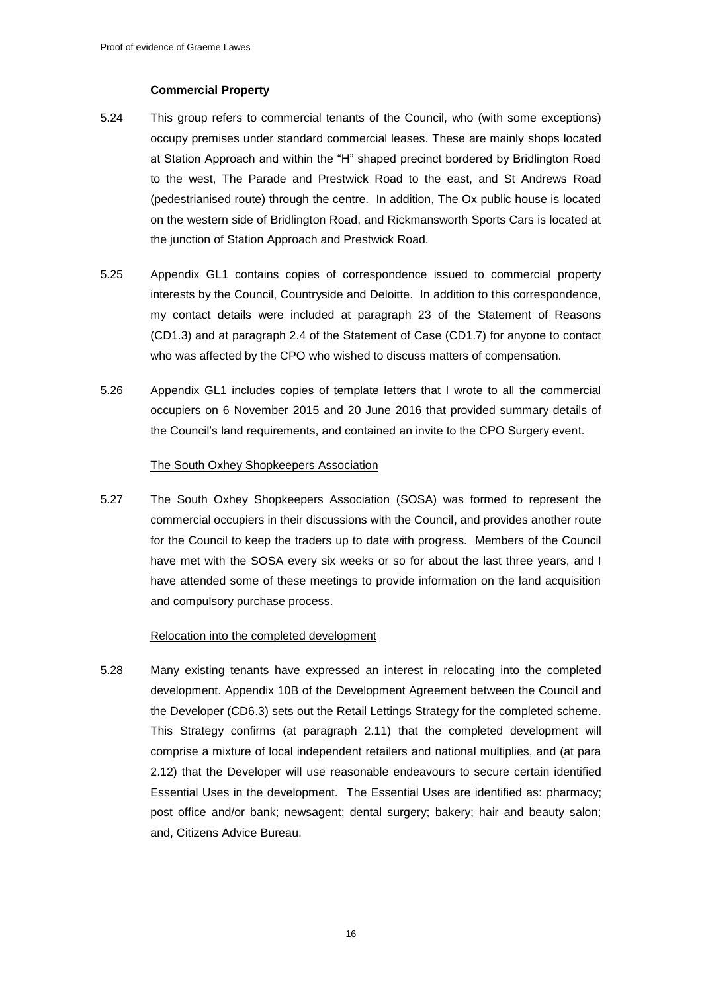## **Commercial Property**

- 5.24 This group refers to commercial tenants of the Council, who (with some exceptions) occupy premises under standard commercial leases. These are mainly shops located at Station Approach and within the "H" shaped precinct bordered by Bridlington Road to the west, The Parade and Prestwick Road to the east, and St Andrews Road (pedestrianised route) through the centre. In addition, The Ox public house is located on the western side of Bridlington Road, and Rickmansworth Sports Cars is located at the junction of Station Approach and Prestwick Road.
- 5.25 Appendix GL1 contains copies of correspondence issued to commercial property interests by the Council, Countryside and Deloitte. In addition to this correspondence, my contact details were included at paragraph 23 of the Statement of Reasons (CD1.3) and at paragraph 2.4 of the Statement of Case (CD1.7) for anyone to contact who was affected by the CPO who wished to discuss matters of compensation.
- 5.26 Appendix GL1 includes copies of template letters that I wrote to all the commercial occupiers on 6 November 2015 and 20 June 2016 that provided summary details of the Council's land requirements, and contained an invite to the CPO Surgery event.

#### The South Oxhey Shopkeepers Association

5.27 The South Oxhey Shopkeepers Association (SOSA) was formed to represent the commercial occupiers in their discussions with the Council, and provides another route for the Council to keep the traders up to date with progress. Members of the Council have met with the SOSA every six weeks or so for about the last three years, and I have attended some of these meetings to provide information on the land acquisition and compulsory purchase process.

#### Relocation into the completed development

5.28 Many existing tenants have expressed an interest in relocating into the completed development. Appendix 10B of the Development Agreement between the Council and the Developer (CD6.3) sets out the Retail Lettings Strategy for the completed scheme. This Strategy confirms (at paragraph 2.11) that the completed development will comprise a mixture of local independent retailers and national multiplies, and (at para 2.12) that the Developer will use reasonable endeavours to secure certain identified Essential Uses in the development. The Essential Uses are identified as: pharmacy; post office and/or bank; newsagent; dental surgery; bakery; hair and beauty salon; and, Citizens Advice Bureau.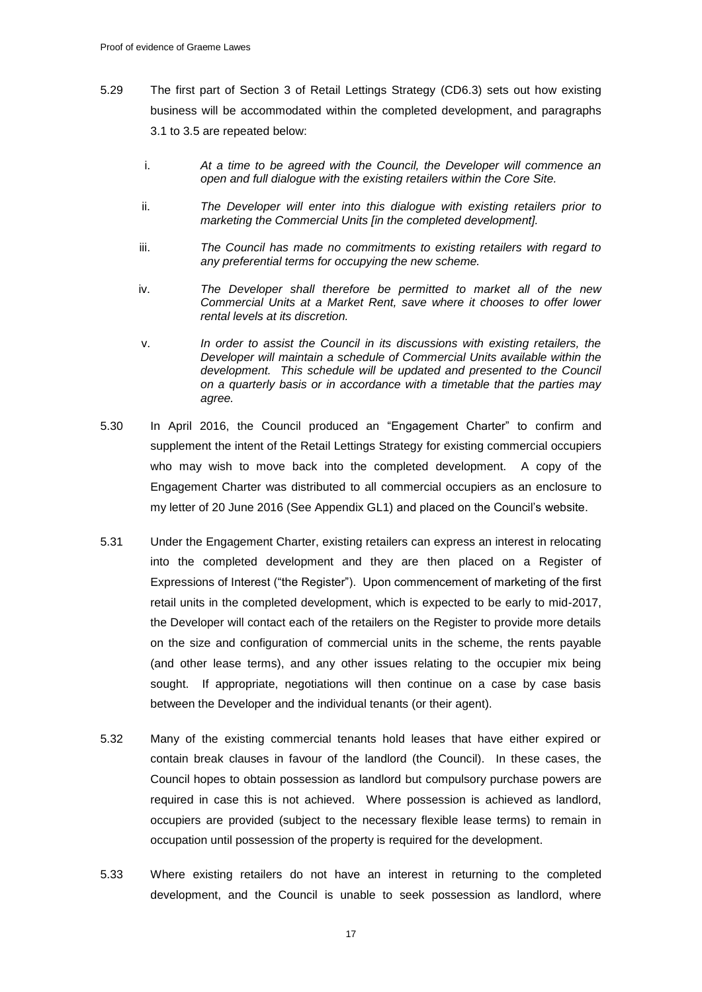- 5.29 The first part of Section 3 of Retail Lettings Strategy (CD6.3) sets out how existing business will be accommodated within the completed development, and paragraphs 3.1 to 3.5 are repeated below:
	- i. *At a time to be agreed with the Council, the Developer will commence an open and full dialogue with the existing retailers within the Core Site.*
	- ii. *The Developer will enter into this dialogue with existing retailers prior to marketing the Commercial Units [in the completed development].*
	- iii. *The Council has made no commitments to existing retailers with regard to any preferential terms for occupying the new scheme.*
	- iv. *The Developer shall therefore be permitted to market all of the new Commercial Units at a Market Rent, save where it chooses to offer lower rental levels at its discretion.*
	- v. *In order to assist the Council in its discussions with existing retailers, the Developer will maintain a schedule of Commercial Units available within the development. This schedule will be updated and presented to the Council on a quarterly basis or in accordance with a timetable that the parties may agree.*
- 5.30 In April 2016, the Council produced an "Engagement Charter" to confirm and supplement the intent of the Retail Lettings Strategy for existing commercial occupiers who may wish to move back into the completed development. A copy of the Engagement Charter was distributed to all commercial occupiers as an enclosure to my letter of 20 June 2016 (See Appendix GL1) and placed on the Council's website.
- 5.31 Under the Engagement Charter, existing retailers can express an interest in relocating into the completed development and they are then placed on a Register of Expressions of Interest ("the Register"). Upon commencement of marketing of the first retail units in the completed development, which is expected to be early to mid-2017, the Developer will contact each of the retailers on the Register to provide more details on the size and configuration of commercial units in the scheme, the rents payable (and other lease terms), and any other issues relating to the occupier mix being sought. If appropriate, negotiations will then continue on a case by case basis between the Developer and the individual tenants (or their agent).
- 5.32 Many of the existing commercial tenants hold leases that have either expired or contain break clauses in favour of the landlord (the Council). In these cases, the Council hopes to obtain possession as landlord but compulsory purchase powers are required in case this is not achieved. Where possession is achieved as landlord, occupiers are provided (subject to the necessary flexible lease terms) to remain in occupation until possession of the property is required for the development.
- 5.33 Where existing retailers do not have an interest in returning to the completed development, and the Council is unable to seek possession as landlord, where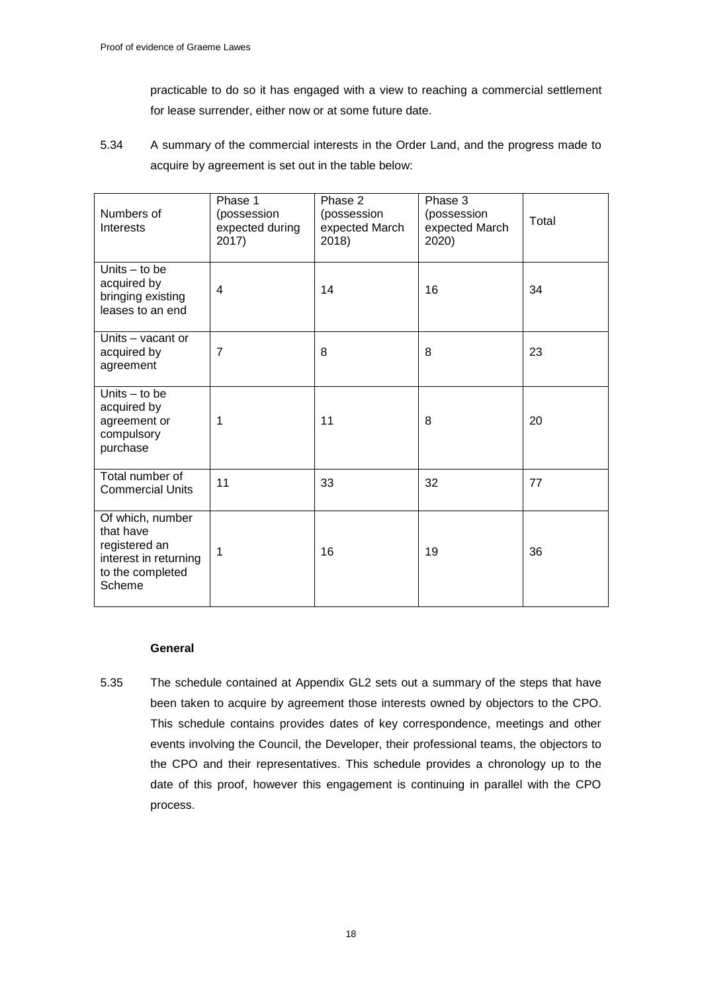practicable to do so it has engaged with a view to reaching a commercial settlement for lease surrender, either now or at some future date.

5.34 A summary of the commercial interests in the Order Land, and the progress made to acquire by agreement is set out in the table below:

| Numbers of<br>Interests                                                                               | Phase 1<br>(possession<br>expected during<br>2017) | Phase 2<br>(possession<br>expected March<br>2018) | Phase 3<br>(possession<br>expected March<br>2020) | Total |
|-------------------------------------------------------------------------------------------------------|----------------------------------------------------|---------------------------------------------------|---------------------------------------------------|-------|
| Units $-$ to be<br>acquired by<br>bringing existing<br>leases to an end                               | $\overline{4}$                                     | 14                                                | 16                                                | 34    |
| Units - vacant or<br>acquired by<br>agreement                                                         | $\overline{7}$                                     | 8                                                 | 8                                                 | 23    |
| Units $-$ to be<br>acquired by<br>agreement or<br>compulsory<br>purchase                              | 1                                                  | 11                                                | 8                                                 | 20    |
| Total number of<br><b>Commercial Units</b>                                                            | 11                                                 | 33                                                | 32                                                | 77    |
| Of which, number<br>that have<br>registered an<br>interest in returning<br>to the completed<br>Scheme | 1                                                  | 16                                                | 19                                                | 36    |

## **General**

5.35 The schedule contained at Appendix GL2 sets out a summary of the steps that have been taken to acquire by agreement those interests owned by objectors to the CPO. This schedule contains provides dates of key correspondence, meetings and other events involving the Council, the Developer, their professional teams, the objectors to the CPO and their representatives. This schedule provides a chronology up to the date of this proof, however this engagement is continuing in parallel with the CPO process.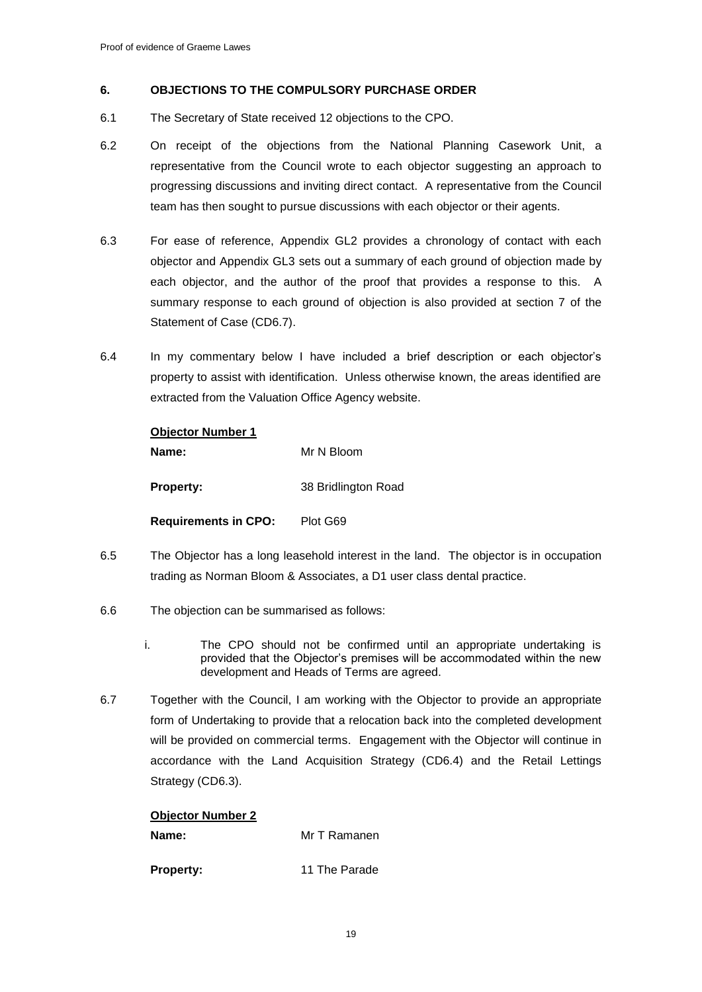## **6. OBJECTIONS TO THE COMPULSORY PURCHASE ORDER**

- 6.1 The Secretary of State received 12 objections to the CPO.
- 6.2 On receipt of the objections from the National Planning Casework Unit, a representative from the Council wrote to each objector suggesting an approach to progressing discussions and inviting direct contact. A representative from the Council team has then sought to pursue discussions with each objector or their agents.
- 6.3 For ease of reference, Appendix GL2 provides a chronology of contact with each objector and Appendix GL3 sets out a summary of each ground of objection made by each objector, and the author of the proof that provides a response to this. A summary response to each ground of objection is also provided at section 7 of the Statement of Case (CD6.7).
- 6.4 In my commentary below I have included a brief description or each objector's property to assist with identification. Unless otherwise known, the areas identified are extracted from the Valuation Office Agency website.

## **Objector Number 1**

**Property:** 38 Bridlington Road

**Requirements in CPO:** Plot G69

- 6.5 The Objector has a long leasehold interest in the land. The objector is in occupation trading as Norman Bloom & Associates, a D1 user class dental practice.
- 6.6 The objection can be summarised as follows:
	- i. The CPO should not be confirmed until an appropriate undertaking is provided that the Objector's premises will be accommodated within the new development and Heads of Terms are agreed.
- 6.7 Together with the Council, I am working with the Objector to provide an appropriate form of Undertaking to provide that a relocation back into the completed development will be provided on commercial terms. Engagement with the Objector will continue in accordance with the Land Acquisition Strategy (CD6.4) and the Retail Lettings Strategy (CD6.3).

## **Objector Number 2**

| Name: | Mr T Ramanen |
|-------|--------------|
|       |              |

**Property:** 11 The Parade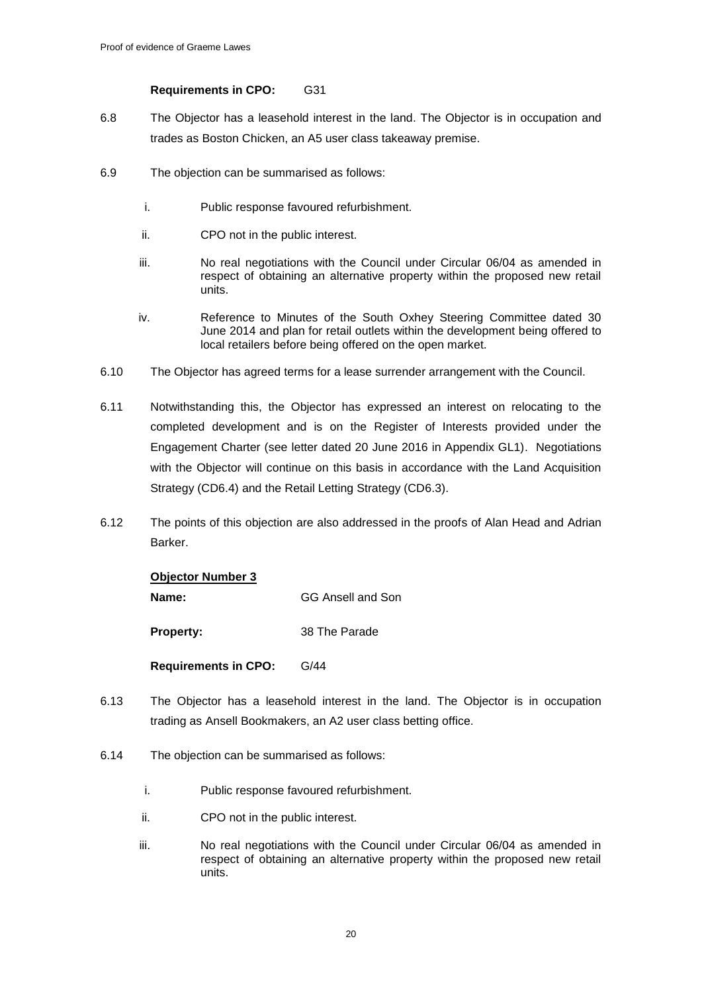## **Requirements in CPO:** G31

- 6.8 The Objector has a leasehold interest in the land. The Objector is in occupation and trades as Boston Chicken, an A5 user class takeaway premise.
- 6.9 The objection can be summarised as follows:
	- i. Public response favoured refurbishment.
	- ii. CPO not in the public interest.
	- iii. No real negotiations with the Council under Circular 06/04 as amended in respect of obtaining an alternative property within the proposed new retail units.
	- iv. Reference to Minutes of the South Oxhey Steering Committee dated 30 June 2014 and plan for retail outlets within the development being offered to local retailers before being offered on the open market.
- 6.10 The Objector has agreed terms for a lease surrender arrangement with the Council.
- 6.11 Notwithstanding this, the Objector has expressed an interest on relocating to the completed development and is on the Register of Interests provided under the Engagement Charter (see letter dated 20 June 2016 in Appendix GL1). Negotiations with the Objector will continue on this basis in accordance with the Land Acquisition Strategy (CD6.4) and the Retail Letting Strategy (CD6.3).
- 6.12 The points of this objection are also addressed in the proofs of Alan Head and Adrian Barker.

| <b>Objector Number 3</b>    |                   |  |
|-----------------------------|-------------------|--|
| Name:                       | GG Ansell and Son |  |
| <b>Property:</b>            | 38 The Parade     |  |
| <b>Requirements in CPO:</b> | G/44              |  |

- 6.13 The Objector has a leasehold interest in the land. The Objector is in occupation trading as Ansell Bookmakers, an A2 user class betting office.
- 6.14 The objection can be summarised as follows:
	- i. Public response favoured refurbishment.
	- ii. CPO not in the public interest.
	- iii. No real negotiations with the Council under Circular 06/04 as amended in respect of obtaining an alternative property within the proposed new retail units.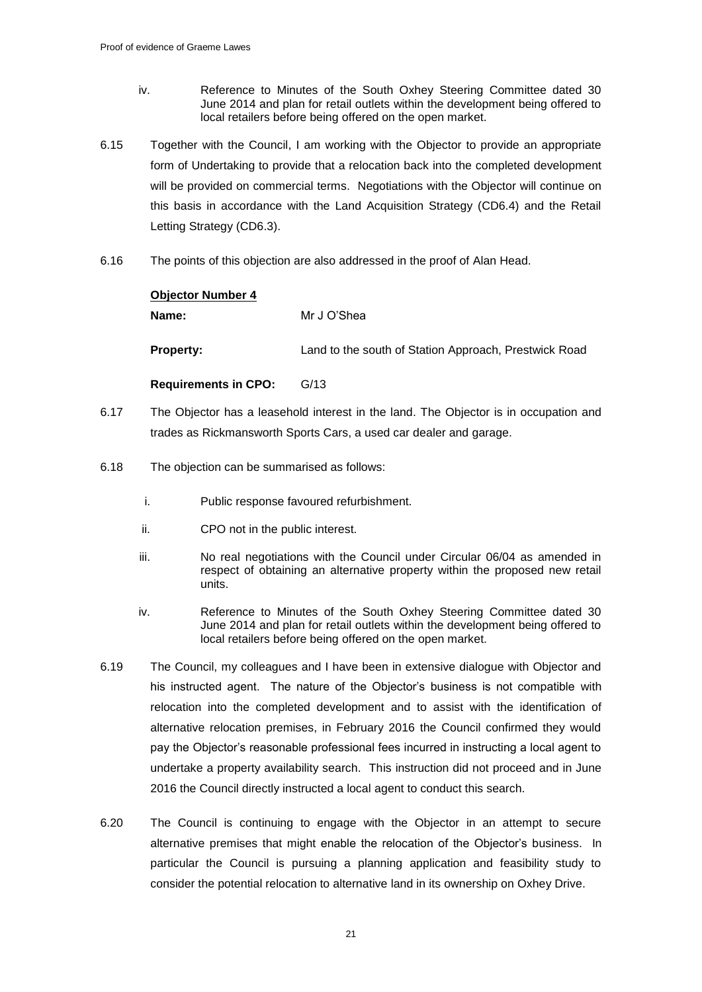- iv. Reference to Minutes of the South Oxhey Steering Committee dated 30 June 2014 and plan for retail outlets within the development being offered to local retailers before being offered on the open market.
- 6.15 Together with the Council, I am working with the Objector to provide an appropriate form of Undertaking to provide that a relocation back into the completed development will be provided on commercial terms. Negotiations with the Objector will continue on this basis in accordance with the Land Acquisition Strategy (CD6.4) and the Retail Letting Strategy (CD6.3).
- 6.16 The points of this objection are also addressed in the proof of Alan Head.

# **Objector Number 4 Name:** Mr J O'Shea **Property:** Land to the south of Station Approach, Prestwick Road

**Requirements in CPO:** G/13

- 6.17 The Objector has a leasehold interest in the land. The Objector is in occupation and trades as Rickmansworth Sports Cars, a used car dealer and garage.
- 6.18 The objection can be summarised as follows:
	- i. Public response favoured refurbishment.
	- ii. CPO not in the public interest.
	- iii. No real negotiations with the Council under Circular 06/04 as amended in respect of obtaining an alternative property within the proposed new retail units.
	- iv. Reference to Minutes of the South Oxhey Steering Committee dated 30 June 2014 and plan for retail outlets within the development being offered to local retailers before being offered on the open market.
- 6.19 The Council, my colleagues and I have been in extensive dialogue with Objector and his instructed agent. The nature of the Objector's business is not compatible with relocation into the completed development and to assist with the identification of alternative relocation premises, in February 2016 the Council confirmed they would pay the Objector's reasonable professional fees incurred in instructing a local agent to undertake a property availability search. This instruction did not proceed and in June 2016 the Council directly instructed a local agent to conduct this search.
- 6.20 The Council is continuing to engage with the Objector in an attempt to secure alternative premises that might enable the relocation of the Objector's business. In particular the Council is pursuing a planning application and feasibility study to consider the potential relocation to alternative land in its ownership on Oxhey Drive.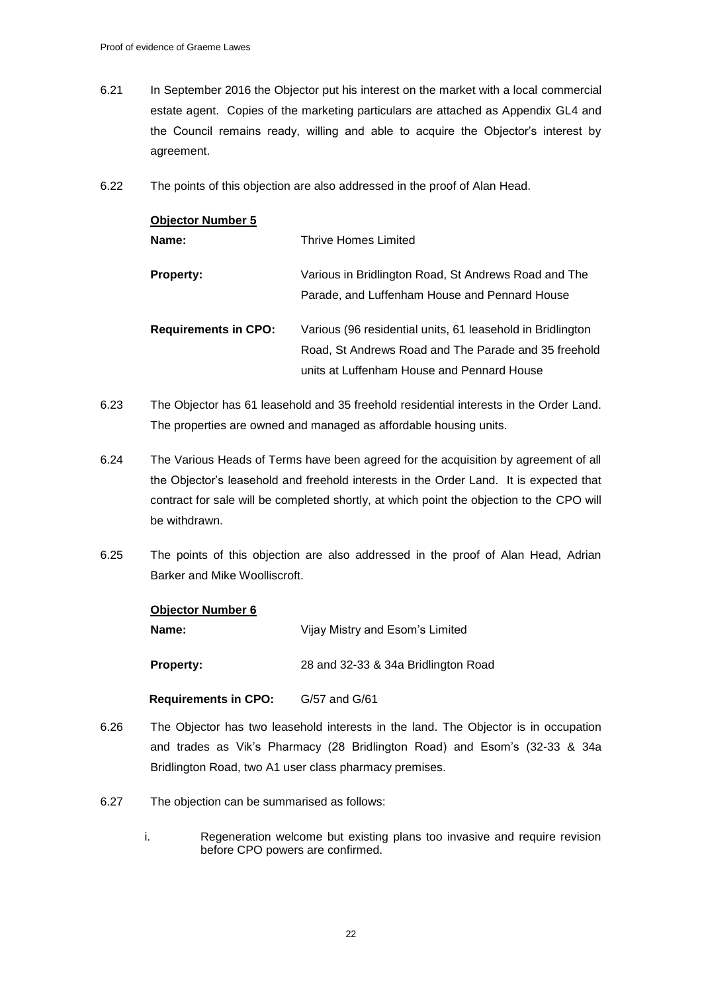- 6.21 In September 2016 the Objector put his interest on the market with a local commercial estate agent. Copies of the marketing particulars are attached as Appendix GL4 and the Council remains ready, willing and able to acquire the Objector's interest by agreement.
- 6.22 The points of this objection are also addressed in the proof of Alan Head.

| <b>Objector Number 5</b>    |                                                                                                                                                                  |
|-----------------------------|------------------------------------------------------------------------------------------------------------------------------------------------------------------|
| Name:                       | Thrive Homes Limited                                                                                                                                             |
| <b>Property:</b>            | Various in Bridlington Road, St Andrews Road and The<br>Parade, and Luffenham House and Pennard House                                                            |
| <b>Requirements in CPO:</b> | Various (96 residential units, 61 leasehold in Bridlington<br>Road, St Andrews Road and The Parade and 35 freehold<br>units at Luffenham House and Pennard House |

- 6.23 The Objector has 61 leasehold and 35 freehold residential interests in the Order Land. The properties are owned and managed as affordable housing units.
- 6.24 The Various Heads of Terms have been agreed for the acquisition by agreement of all the Objector's leasehold and freehold interests in the Order Land. It is expected that contract for sale will be completed shortly, at which point the objection to the CPO will be withdrawn.
- 6.25 The points of this objection are also addressed in the proof of Alan Head, Adrian Barker and Mike Woolliscroft.

| <b>Objector Number 6</b> |                                     |  |
|--------------------------|-------------------------------------|--|
| Name:                    | Vijay Mistry and Esom's Limited     |  |
| <b>Property:</b>         | 28 and 32-33 & 34a Bridlington Road |  |

 **Requirements in CPO:** G/57 and G/61

- 6.26 The Objector has two leasehold interests in the land. The Objector is in occupation and trades as Vik's Pharmacy (28 Bridlington Road) and Esom's (32-33 & 34a Bridlington Road, two A1 user class pharmacy premises.
- 6.27 The objection can be summarised as follows:
	- i. Regeneration welcome but existing plans too invasive and require revision before CPO powers are confirmed.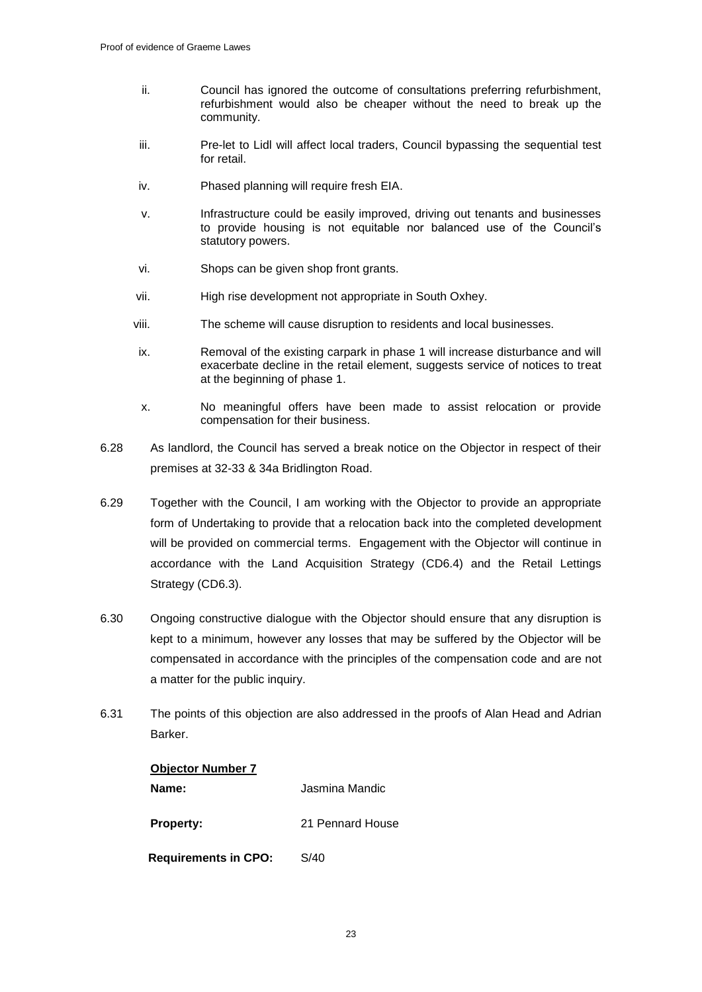- ii. Council has ignored the outcome of consultations preferring refurbishment, refurbishment would also be cheaper without the need to break up the community.
- iii. Pre-let to Lidl will affect local traders, Council bypassing the sequential test for retail.
- iv. Phased planning will require fresh EIA.
- v. Infrastructure could be easily improved, driving out tenants and businesses to provide housing is not equitable nor balanced use of the Council's statutory powers.
- vi. Shops can be given shop front grants.
- vii. High rise development not appropriate in South Oxhey.
- viii. The scheme will cause disruption to residents and local businesses.
- ix. Removal of the existing carpark in phase 1 will increase disturbance and will exacerbate decline in the retail element, suggests service of notices to treat at the beginning of phase 1.
- x. No meaningful offers have been made to assist relocation or provide compensation for their business.
- 6.28 As landlord, the Council has served a break notice on the Objector in respect of their premises at 32-33 & 34a Bridlington Road.
- 6.29 Together with the Council, I am working with the Objector to provide an appropriate form of Undertaking to provide that a relocation back into the completed development will be provided on commercial terms. Engagement with the Objector will continue in accordance with the Land Acquisition Strategy (CD6.4) and the Retail Lettings Strategy (CD6.3).
- 6.30 Ongoing constructive dialogue with the Objector should ensure that any disruption is kept to a minimum, however any losses that may be suffered by the Objector will be compensated in accordance with the principles of the compensation code and are not a matter for the public inquiry.
- 6.31 The points of this objection are also addressed in the proofs of Alan Head and Adrian Barker.

| <b>Objector Number 7</b>    |                  |  |
|-----------------------------|------------------|--|
| Name:                       | Jasmina Mandic   |  |
| <b>Property:</b>            | 21 Pennard House |  |
| <b>Requirements in CPO:</b> | S/40             |  |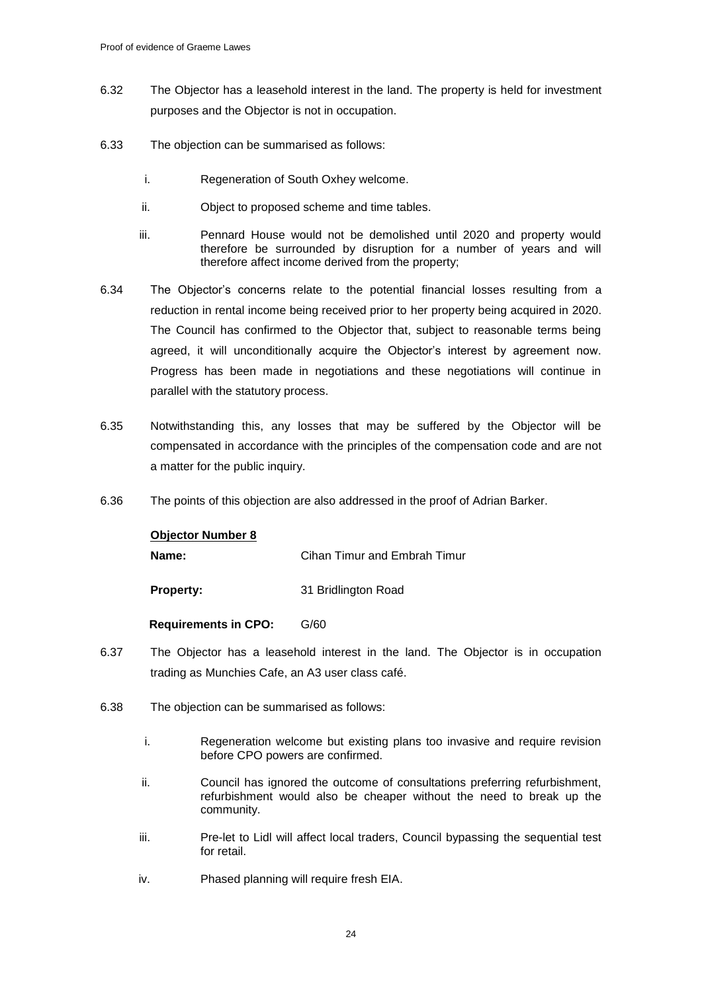- 6.32 The Objector has a leasehold interest in the land. The property is held for investment purposes and the Objector is not in occupation.
- 6.33 The objection can be summarised as follows:
	- i. Regeneration of South Oxhey welcome.
	- ii. Object to proposed scheme and time tables.
	- iii. Pennard House would not be demolished until 2020 and property would therefore be surrounded by disruption for a number of years and will therefore affect income derived from the property;
- 6.34 The Objector's concerns relate to the potential financial losses resulting from a reduction in rental income being received prior to her property being acquired in 2020. The Council has confirmed to the Objector that, subject to reasonable terms being agreed, it will unconditionally acquire the Objector's interest by agreement now. Progress has been made in negotiations and these negotiations will continue in parallel with the statutory process.
- 6.35 Notwithstanding this, any losses that may be suffered by the Objector will be compensated in accordance with the principles of the compensation code and are not a matter for the public inquiry.
- 6.36 The points of this objection are also addressed in the proof of Adrian Barker.

## **Objector Number 8**

**Name:** Cihan Timur and Embrah Timur

**Property:** 31 Bridlington Road

 **Requirements in CPO:** G/60

- 6.37 The Objector has a leasehold interest in the land. The Objector is in occupation trading as Munchies Cafe, an A3 user class café.
- 6.38 The objection can be summarised as follows:
	- i. Regeneration welcome but existing plans too invasive and require revision before CPO powers are confirmed.
	- ii. Council has ignored the outcome of consultations preferring refurbishment, refurbishment would also be cheaper without the need to break up the community.
	- iii. Pre-let to Lidl will affect local traders, Council bypassing the sequential test for retail.
	- iv. Phased planning will require fresh EIA.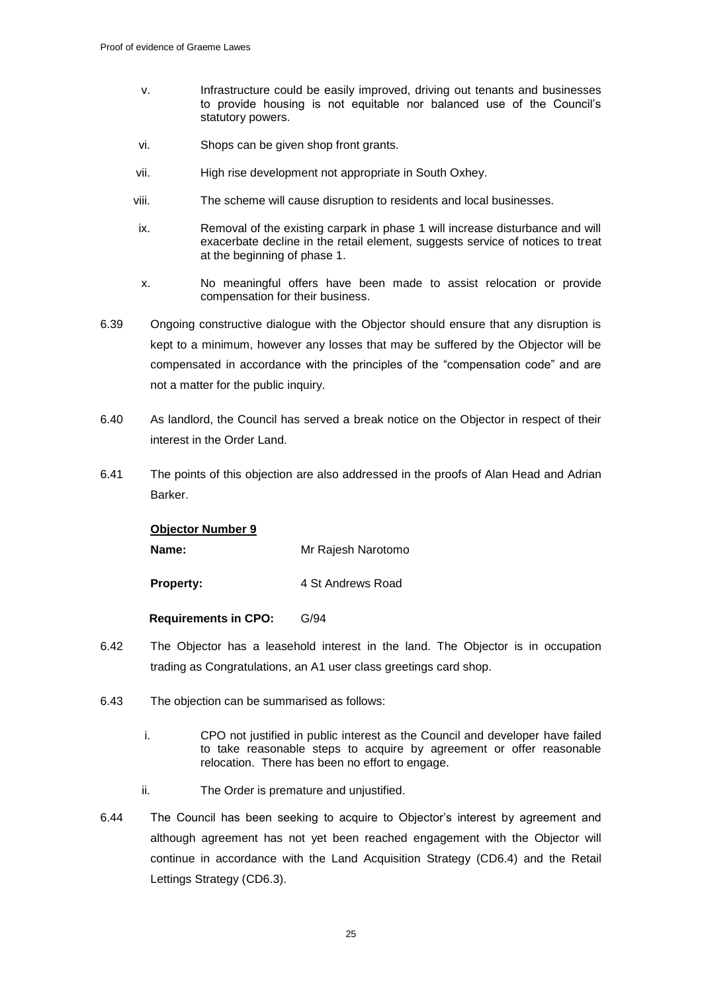- v. Infrastructure could be easily improved, driving out tenants and businesses to provide housing is not equitable nor balanced use of the Council's statutory powers.
- vi. Shops can be given shop front grants.
- vii. High rise development not appropriate in South Oxhey.
- viii. The scheme will cause disruption to residents and local businesses.
- ix. Removal of the existing carpark in phase 1 will increase disturbance and will exacerbate decline in the retail element, suggests service of notices to treat at the beginning of phase 1.
- x. No meaningful offers have been made to assist relocation or provide compensation for their business.
- 6.39 Ongoing constructive dialogue with the Objector should ensure that any disruption is kept to a minimum, however any losses that may be suffered by the Objector will be compensated in accordance with the principles of the "compensation code" and are not a matter for the public inquiry.
- 6.40 As landlord, the Council has served a break notice on the Objector in respect of their interest in the Order Land.
- 6.41 The points of this objection are also addressed in the proofs of Alan Head and Adrian Barker.

#### **Objector Number 9**

**Name:** Mr Rajesh Narotomo

**Property:** 4 St Andrews Road

#### **Requirements in CPO:** G/94

- 6.42 The Objector has a leasehold interest in the land. The Objector is in occupation trading as Congratulations, an A1 user class greetings card shop.
- 6.43 The objection can be summarised as follows:
	- i. CPO not justified in public interest as the Council and developer have failed to take reasonable steps to acquire by agreement or offer reasonable relocation. There has been no effort to engage.
	- ii. The Order is premature and unjustified.
- 6.44 The Council has been seeking to acquire to Objector's interest by agreement and although agreement has not yet been reached engagement with the Objector will continue in accordance with the Land Acquisition Strategy (CD6.4) and the Retail Lettings Strategy (CD6.3).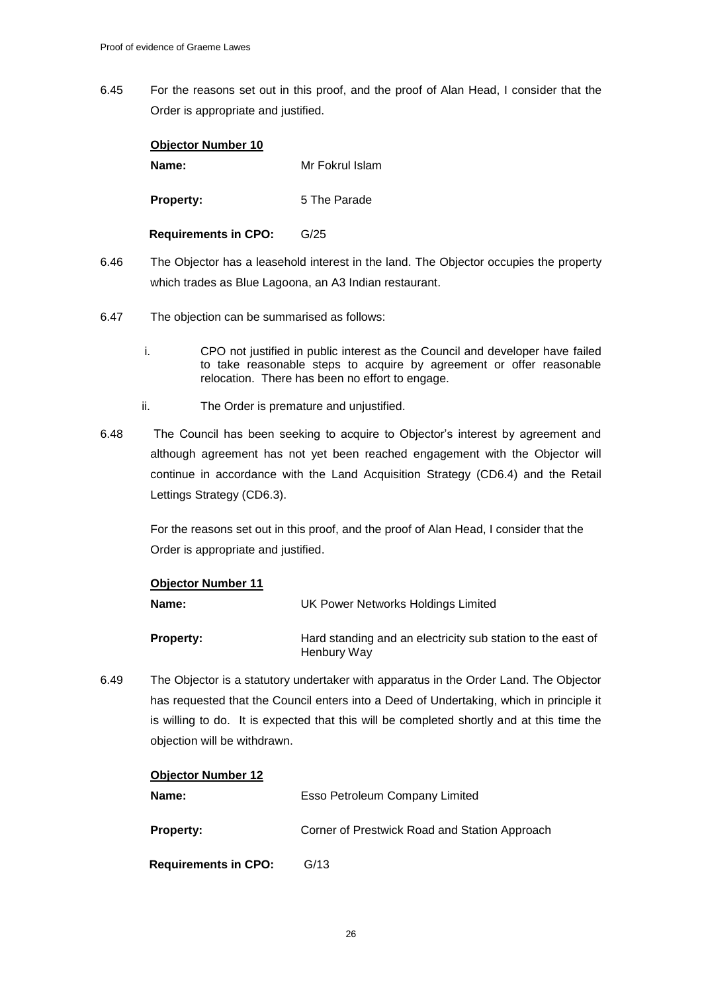6.45 For the reasons set out in this proof, and the proof of Alan Head, I consider that the Order is appropriate and justified.

| <b>Objector Number 10</b>   |                 |
|-----------------------------|-----------------|
| Name:                       | Mr Fokrul Islam |
| <b>Property:</b>            | 5 The Parade    |
| <b>Requirements in CPO:</b> | G/25            |

- 6.46 The Objector has a leasehold interest in the land. The Objector occupies the property which trades as Blue Lagoona, an A3 Indian restaurant.
- 6.47 The objection can be summarised as follows:
	- i. CPO not justified in public interest as the Council and developer have failed to take reasonable steps to acquire by agreement or offer reasonable relocation. There has been no effort to engage.
	- ii. The Order is premature and unjustified.
- 6.48 The Council has been seeking to acquire to Objector's interest by agreement and although agreement has not yet been reached engagement with the Objector will continue in accordance with the Land Acquisition Strategy (CD6.4) and the Retail Lettings Strategy (CD6.3).

For the reasons set out in this proof, and the proof of Alan Head, I consider that the Order is appropriate and justified.

| <b>Objector Number 11</b> |                                                                            |
|---------------------------|----------------------------------------------------------------------------|
| Name:                     | UK Power Networks Holdings Limited                                         |
| <b>Property:</b>          | Hard standing and an electricity sub station to the east of<br>Henbury Way |

6.49 The Objector is a statutory undertaker with apparatus in the Order Land. The Objector has requested that the Council enters into a Deed of Undertaking, which in principle it is willing to do. It is expected that this will be completed shortly and at this time the objection will be withdrawn.

## **Objector Number 12**

| Name:                       | Esso Petroleum Company Limited                |
|-----------------------------|-----------------------------------------------|
| <b>Property:</b>            | Corner of Prestwick Road and Station Approach |
| <b>Requirements in CPO:</b> | G/13                                          |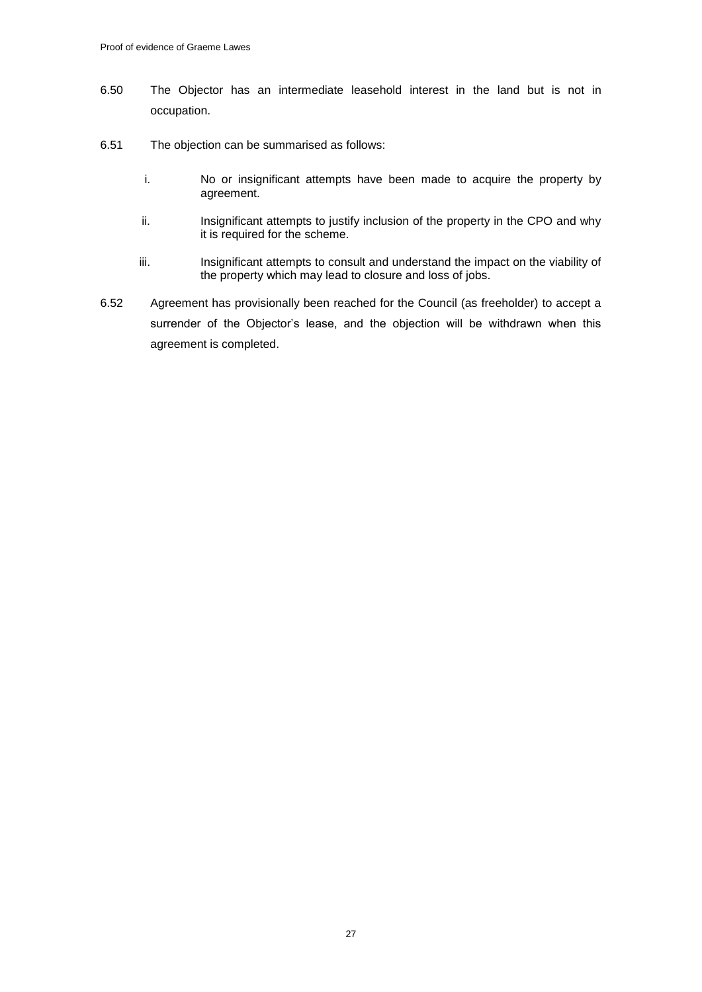- 6.50 The Objector has an intermediate leasehold interest in the land but is not in occupation.
- 6.51 The objection can be summarised as follows:
	- i. No or insignificant attempts have been made to acquire the property by agreement.
	- ii. Insignificant attempts to justify inclusion of the property in the CPO and why it is required for the scheme.
	- iii. Insignificant attempts to consult and understand the impact on the viability of the property which may lead to closure and loss of jobs.
- 6.52 Agreement has provisionally been reached for the Council (as freeholder) to accept a surrender of the Objector's lease, and the objection will be withdrawn when this agreement is completed.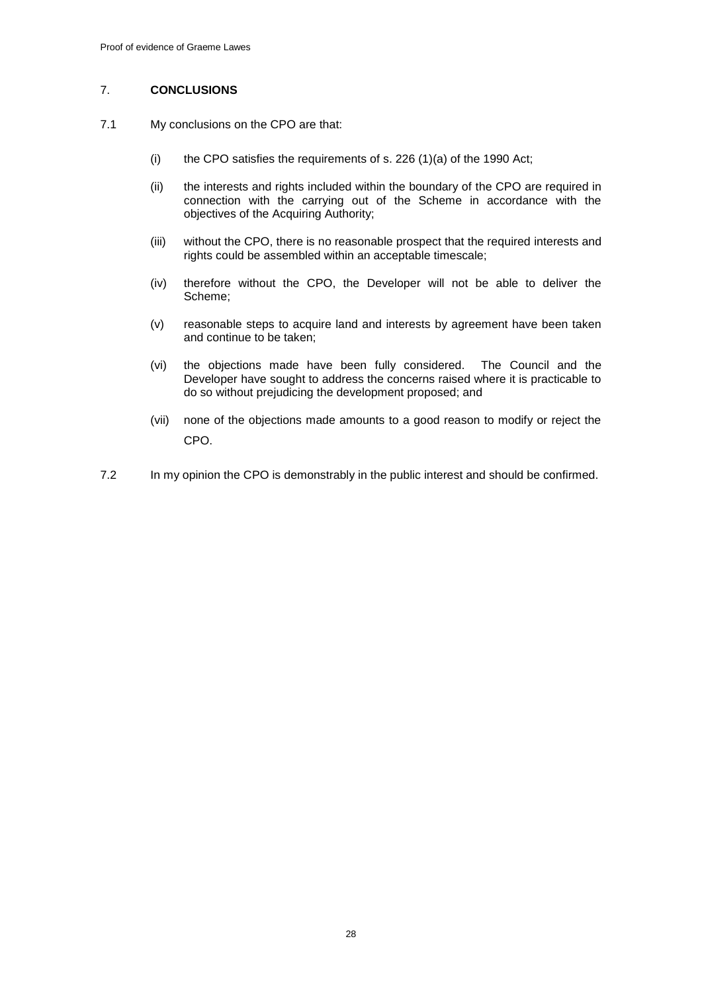### 7. **CONCLUSIONS**

- 7.1 My conclusions on the CPO are that:
	- (i) the CPO satisfies the requirements of s. 226  $(1)(a)$  of the 1990 Act;
	- (ii) the interests and rights included within the boundary of the CPO are required in connection with the carrying out of the Scheme in accordance with the objectives of the Acquiring Authority;
	- (iii) without the CPO, there is no reasonable prospect that the required interests and rights could be assembled within an acceptable timescale;
	- (iv) therefore without the CPO, the Developer will not be able to deliver the Scheme;
	- (v) reasonable steps to acquire land and interests by agreement have been taken and continue to be taken;
	- (vi) the objections made have been fully considered. The Council and the Developer have sought to address the concerns raised where it is practicable to do so without prejudicing the development proposed; and
	- (vii) none of the objections made amounts to a good reason to modify or reject the CPO.
- 7.2 In my opinion the CPO is demonstrably in the public interest and should be confirmed.